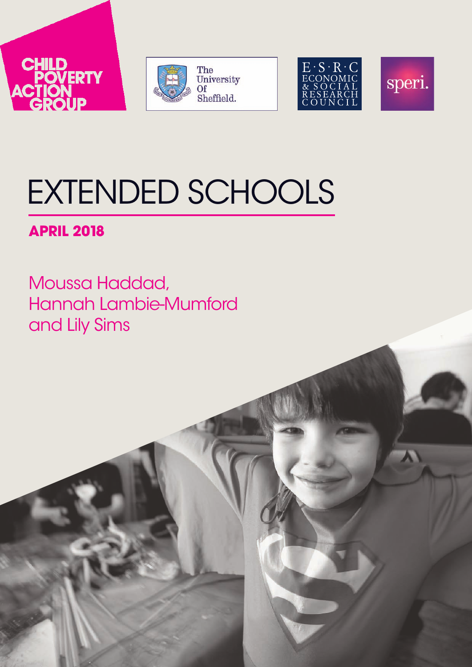







# EXTENDED SCHOOLS

# **APRIL 2018**

Moussa Haddad, Hannah Lambie-Mumford and Lily Sims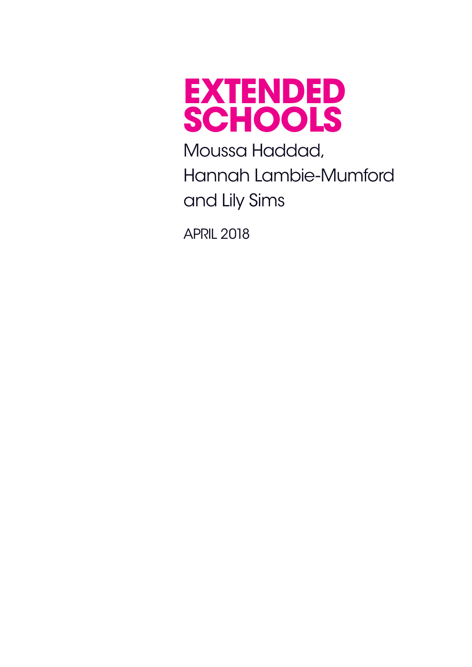

Moussa Haddad, Hannah Lambie-Mumford and Lily Sims

apriL 2018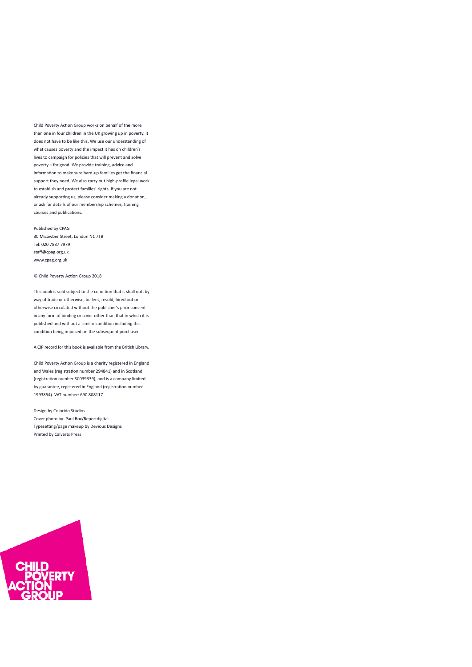Child Poverty Action Group works on behalf of the more than one in four children in the UK growing up in poverty. It does not have to be like this. We use our understanding of what causes poverty and the impact it has on children's lives to campaign for policies that will prevent and solve poverty – for good. We provide training, advice and information to make sure hard-up families get the financial support they need. We also carry out high-profile legal work to establish and protect families' rights. If you are not already supporting us, please consider making a donation, or ask for details of our membership schemes, training courses and publications.

Published by CPAG 30 Micawber Street, London N1 7TB Tel: 020 7837 7979 staff@cpag.org.uk www.cpag.org.uk

© Child Poverty Action Group 2018

This book is sold subject to the condition that it shall not, by way of trade or otherwise, be lent, resold, hired out or otherwise circulated without the publisher's prior consent in any form of binding or cover other than that in which it is published and without a similar condition including this condition being imposed on the subsequent purchaser.

A CIP record for this book is available from the British Library.

Child Poverty Action Group is a charity registered in England and Wales (registration number 294841) and in Scotland (registration number SC039339), and is a company limited by guarantee, registered in England (registration number 1993854). VAT number: 690 808117

Design by Colorido Studios Cover photo by: Paul Box/Reportdigital Typesetting/page makeup by Devious Designs Printed by Calverts Press

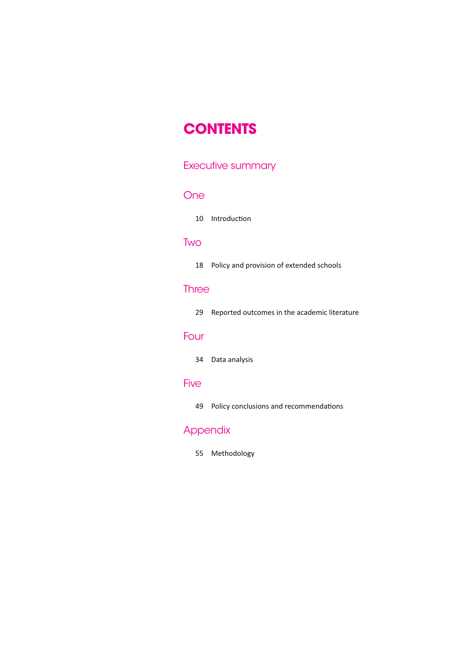# **contents**

# Executive [summary](#page-5-0)

### **[One](#page-10-0)**

10 Introduction

# [Two](#page-18-0)

|  | 18 Policy and provision of extended schools |
|--|---------------------------------------------|
|  |                                             |

# **[Three](#page-29-0)**

|  | 29 Reported outcomes in the academic literature |  |  |  |  |
|--|-------------------------------------------------|--|--|--|--|
|--|-------------------------------------------------|--|--|--|--|

# [Four](#page-34-0)

34 Data analysis

### [Five](#page-49-0)

49 Policy conclusions and recommendations

# **Appendix**

55 Methodology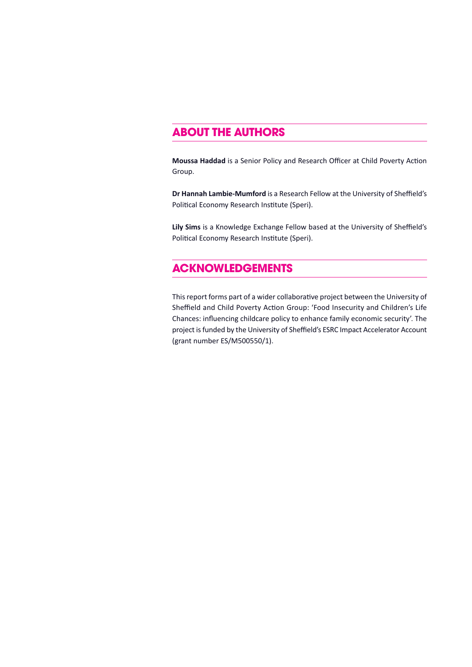# **About the Authors**

**Moussa Haddad** is a Senior Policy and Research Officer at Child Poverty Action Group.

**Dr Hannah Lambie-Mumford** is a Research Fellow at the University of Sheffield's Political Economy Research Institute (Speri).

**Lily Sims** is a Knowledge Exchange Fellow based at the University of Sheffield's Political Economy Research Institute (Speri).

# **Acknowledgements**

This report forms part of a wider collaborative project between the University of Sheffield and Child Poverty Action Group: 'Food Insecurity and Children's Life Chances: influencing childcare policy to enhance family economic security'. The project is funded by the University of Sheffield's ESRC Impact Accelerator Account (grant number ES/M500550/1).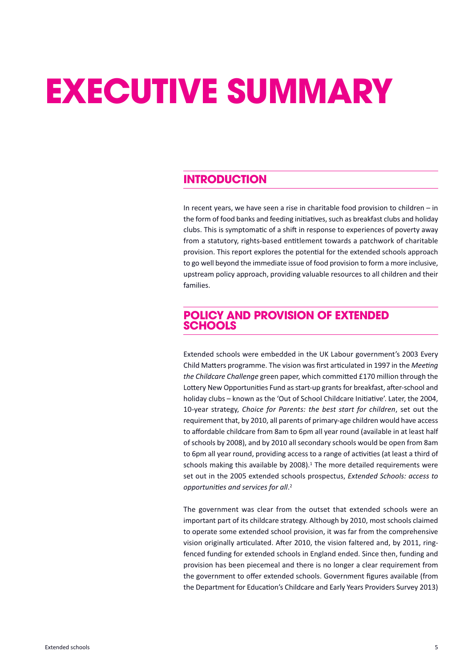# <span id="page-5-0"></span>**executive summAry**

# **introduction**

In recent years, we have seen a rise in charitable food provision to children – in the form of food banks and feeding initiatives, such as breakfast clubs and holiday clubs. This is symptomatic of a shift in response to experiences of poverty away from a statutory, rights-based entitlement towards a patchwork of charitable provision. This report explores the potential for the extended schools approach to go well beyond the immediate issue of food provision to form a more inclusive, upstream policy approach, providing valuable resources to all children and their families.

# **Policy And Provision of extended schools**

Extended schools were embedded in the UK Labour government's 2003 Every Child Matters programme. The vision was first articulated in 1997 in the *Meeting the Childcare Challenge* green paper, which committed £170 million through the Lottery New Opportunities Fund as start-up grants for breakfast, after-school and holiday clubs – known as the 'Out of School Childcare Initiative'. Later, the 2004, 10-year strategy, *Choice for Parents: the best start for children*, set out the requirement that, by 2010, all parents of primary-age children would have access to affordable childcare from 8am to 6pm all year round (available in at least half of schools by 2008), and by 2010 all secondary schools would be open from 8am to 6pm all year round, providing access to a range of activities (at least a third of schools making this available by 2008). <sup>1</sup> The more detailed requirements were set out in the 2005 extended schools prospectus, *Extended Schools: access to opportunities and services for all*. 2

The government was clear from the outset that extended schools were an important part of its childcare strategy. Although by 2010, most schools claimed to operate some extended school provision, it was far from the comprehensive vision originally articulated. After 2010, the vision faltered and, by 2011, ringfenced funding for extended schools in England ended. Since then, funding and provision has been piecemeal and there is no longer a clear requirement from the government to offer extended schools. Government figures available (from the Department for Education's Childcare and Early Years Providers Survey 2013)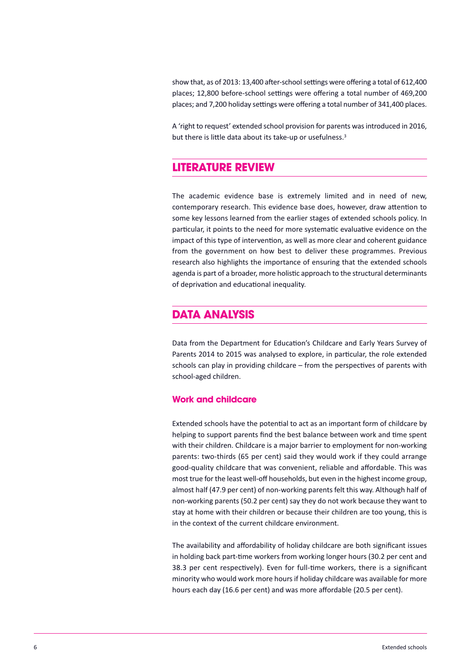show that, as of 2013: 13,400 after-school settings were offering a total of 612,400 places; 12,800 before-school settings were offering a total number of 469,200 places; and 7,200 holiday settings were offering a total number of 341,400 places.

A 'right to request' extended school provision for parents was introduced in 2016, but there is little data about its take-up or usefulness.<sup>3</sup>

# **literAture review**

The academic evidence base is extremely limited and in need of new, contemporary research. This evidence base does, however, draw attention to some key lessons learned from the earlier stages of extended schools policy. In particular, it points to the need for more systematic evaluative evidence on the impact of this type of intervention, as well as more clear and coherent guidance from the government on how best to deliver these programmes. Previous research also highlights the importance of ensuring that the extended schools agenda is part of a broader, more holistic approach to the structural determinants of deprivation and educational inequality.

## **dAtA AnAlysis**

Data from the Department for Education's Childcare and Early Years Survey of Parents 2014 to 2015 was analysed to explore, in particular, the role extended schools can play in providing childcare – from the perspectives of parents with school-aged children.

#### **work and childcare**

Extended schools have the potential to act as an important form of childcare by helping to support parents find the best balance between work and time spent with their children. Childcare is a major barrier to employment for non-working parents: two-thirds (65 per cent) said they would work if they could arrange good-quality childcare that was convenient, reliable and affordable. This was most true for the least well-off households, but even in the highest income group, almost half (47.9 per cent) of non-working parents felt this way. Although half of non-working parents (50.2 per cent) say they do not work because they want to stay at home with their children or because their children are too young, this is in the context of the current childcare environment.

The availability and affordability of holiday childcare are both significant issues in holding back part-time workers from working longer hours (30.2 per cent and 38.3 per cent respectively). Even for full-time workers, there is a significant minority who would work more hoursif holiday childcare was available for more hours each day (16.6 per cent) and was more affordable (20.5 per cent).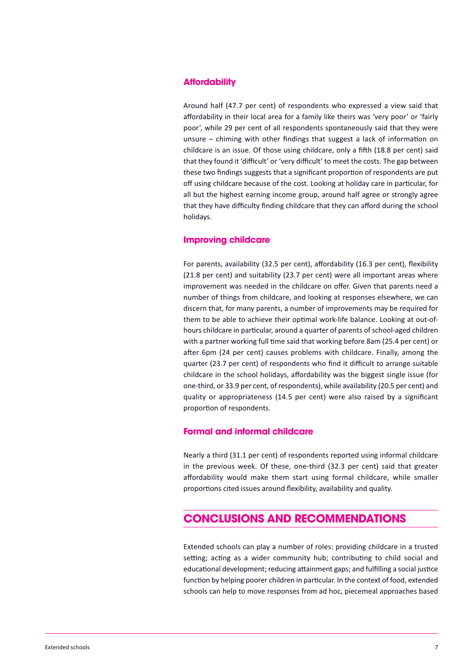#### **Affordability**

Around half (47.7 per cent) of respondents who expressed a view said that affordability in their local area for a family like theirs was 'very poor' or 'fairly poor', while 29 per cent of all respondents spontaneously said that they were unsure – chiming with other findings that suggest a lack of information on childcare is an issue. Of those using childcare, only a fifth (18.8 per cent) said that they found it 'difficult' or 'very difficult' to meet the costs. The gap between these two findings suggests that a significant proportion of respondents are put off using childcare because of the cost. Looking at holiday care in particular, for all but the highest earning income group, around half agree or strongly agree that they have difficulty finding childcare that they can afford during the school holidays.

#### **improving childcare**

For parents, availability (32.5 per cent), affordability (16.3 per cent), flexibility (21.8 per cent) and suitability (23.7 per cent) were all important areas where improvement was needed in the childcare on offer. Given that parents need a number of things from childcare, and looking at responses elsewhere, we can discern that, for many parents, a number of improvements may be required for them to be able to achieve their optimal work-life balance. Looking at out-ofhours childcare in particular, around a quarter of parents of school-aged children with a partner working full time said that working before 8am (25.4 per cent) or after 6pm (24 per cent) causes problems with childcare. Finally, among the quarter (23.7 per cent) of respondents who find it difficult to arrange suitable childcare in the school holidays, affordability was the biggest single issue (for one-third, or 33.9 per cent, of respondents), while availability (20.5 per cent) and quality or appropriateness (14.5 per cent) were also raised by a significant proportion of respondents.

#### **formal and informal childcare**

Nearly a third (31.1 per cent) of respondents reported using informal childcare in the previous week. Of these, one-third (32.3 per cent) said that greater affordability would make them start using formal childcare, while smaller proportions cited issues around flexibility, availability and quality.

# **conclusions And recommendAtions**

Extended schools can play a number of roles: providing childcare in a trusted setting; acting as a wider community hub; contributing to child social and educational development; reducing attainment gaps; and fulfilling a social justice function by helping poorer children in particular. In the context of food, extended schools can help to move responses from ad hoc, piecemeal approaches based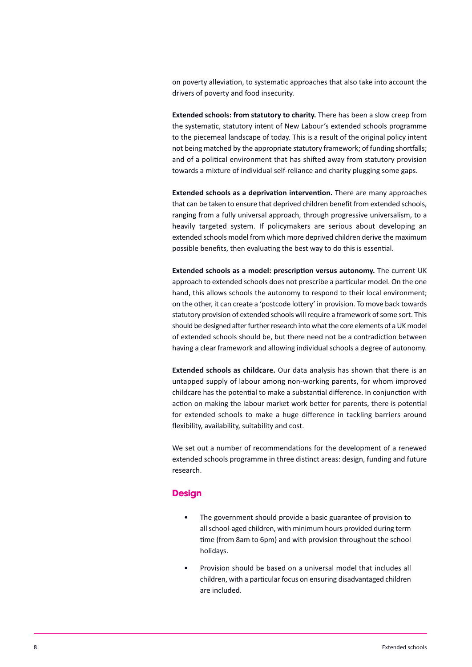on poverty alleviation, to systematic approaches that also take into account the drivers of poverty and food insecurity.

**Extended schools: from statutory to charity.** There has been a slow creep from the systematic, statutory intent of New Labour's extended schools programme to the piecemeal landscape of today. This is a result of the original policy intent not being matched by the appropriate statutory framework; of funding shortfalls; and of a political environment that has shifted away from statutory provision towards a mixture of individual self-reliance and charity plugging some gaps.

**Extended schools as a deprivation intervention.** There are many approaches that can be taken to ensure that deprived children benefit from extended schools, ranging from a fully universal approach, through progressive universalism, to a heavily targeted system. If policymakers are serious about developing an extended schools model from which more deprived children derive the maximum possible benefits, then evaluating the best way to do this is essential.

**Extended schools as a model: prescription versus autonomy.** The current UK approach to extended schools does not prescribe a particular model. On the one hand, this allows schools the autonomy to respond to their local environment; on the other, it can create a 'postcode lottery' in provision. To move back towards statutory provision of extended schools will require a framework of some sort. This should be designed after further research into what the core elements of a UK model of extended schools should be, but there need not be a contradiction between having a clear framework and allowing individual schools a degree of autonomy.

**Extended schools as childcare.** Our data analysis has shown that there is an untapped supply of labour among non-working parents, for whom improved childcare has the potential to make a substantial difference. In conjunction with action on making the labour market work better for parents, there is potential for extended schools to make a huge difference in tackling barriers around flexibility, availability, suitability and cost.

We set out a number of recommendations for the development of a renewed extended schools programme in three distinct areas: design, funding and future research.

#### **Design**

- The government should provide a basic guarantee of provision to all school-aged children, with minimum hours provided during term time (from 8am to 6pm) and with provision throughout the school holidays.
- Provision should be based on a universal model that includes all children, with a particular focus on ensuring disadvantaged children are included.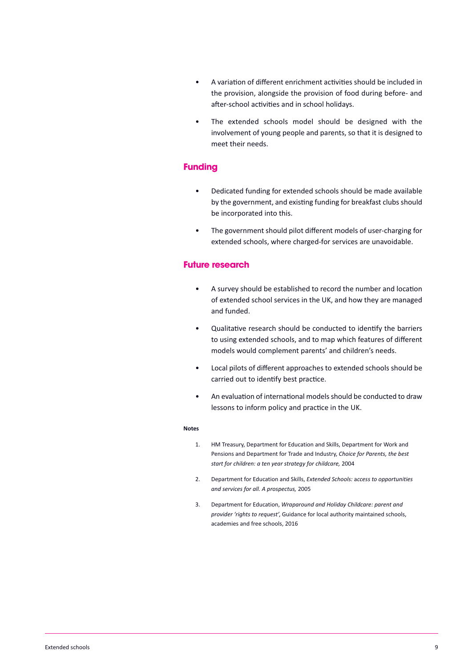- A variation of different enrichment activities should be included in the provision, alongside the provision of food during before- and after-school activities and in school holidays.
- The extended schools model should be designed with the involvement of young people and parents, so that it is designed to meet their needs.

#### **funding**

- Dedicated funding for extended schools should be made available by the government, and existing funding for breakfast clubs should be incorporated into this.
- The government should pilot different models of user-charging for extended schools, where charged-for services are unavoidable.

#### **future research**

- A survey should be established to record the number and location of extended school services in the UK, and how they are managed and funded.
- Qualitative research should be conducted to identify the barriers to using extended schools, and to map which features of different models would complement parents' and children's needs.
- Local pilots of different approaches to extended schools should be carried out to identify best practice.
- An evaluation of international modelsshould be conducted to draw lessons to inform policy and practice in the UK.

#### **Notes**

- 1. HM Treasury, Department for Education and Skills, Department for Work and Pensions and Department for Trade and Industry, *Choice for Parents, the best start for children: a ten year strategy for childcare,* 2004
- 2. Department for Education and Skills, *Extended Schools:* a*ccess to opportunities and services for all. A prospectus,* 2005
- 3. Department for Education, *Wraparound and Holiday Childcare: parent and provider 'rights to request'*, Guidance for local authority maintained schools, academies and free schools, 2016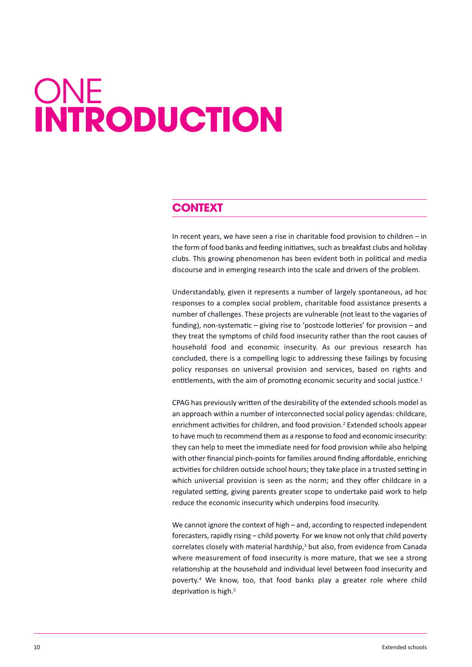# <span id="page-10-0"></span>**ONE introduction**

# **context**

In recent years, we have seen a rise in charitable food provision to children  $-$  in the form of food banks and feeding initiatives, such as breakfast clubs and holiday clubs. This growing phenomenon has been evident both in political and media discourse and in emerging research into the scale and drivers of the problem.

Understandably, given it represents a number of largely spontaneous, ad hoc responses to a complex social problem, charitable food assistance presents a number of challenges. These projects are vulnerable (not least to the vagaries of funding), non-systematic – giving rise to 'postcode lotteries' for provision – and they treat the symptoms of child food insecurity rather than the root causes of household food and economic insecurity. As our previous research has concluded, there is a compelling logic to addressing these failings by focusing policy responses on universal provision and services, based on rights and entitlements, with the aim of promoting economic security and social justice.<sup>1</sup>

CPAG has previously written of the desirability of the extended schools model as an approach within a number of interconnected social policy agendas: childcare, enrichment activities for children, and food provision. <sup>2</sup> Extended schools appear to have much to recommend them as a response to food and economic insecurity: they can help to meet the immediate need for food provision while also helping with other financial pinch-points for families around finding affordable, enriching activities for children outside school hours; they take place in a trusted setting in which universal provision is seen as the norm; and they offer childcare in a regulated setting, giving parents greater scope to undertake paid work to help reduce the economic insecurity which underpins food insecurity.

We cannot ignore the context of high – and, according to respected independent forecasters, rapidly rising – child poverty. For we know not only that child poverty correlates closely with material hardship, <sup>3</sup> but also, from evidence from Canada where measurement of food insecurity is more mature, that we see a strong relationship at the household and individual level between food insecurity and poverty. <sup>4</sup> We know, too, that food banks play a greater role where child deprivation is high. 5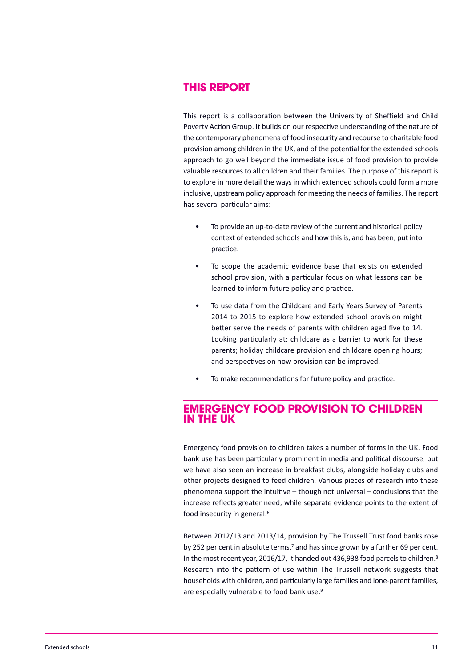## **this rePort**

This report is a collaboration between the University of Sheffield and Child Poverty Action Group. It builds on our respective understanding of the nature of the contemporary phenomena of food insecurity and recourse to charitable food provision among children in the UK, and of the potential for the extended schools approach to go well beyond the immediate issue of food provision to provide valuable resourcesto all children and their families. The purpose of thisreport is to explore in more detail the ways in which extended schools could form a more inclusive, upstream policy approach for meeting the needs of families. The report has several particular aims:

- To provide an up-to-date review of the current and historical policy context of extended schools and how this is, and has been, put into practice.
- To scope the academic evidence base that exists on extended school provision, with a particular focus on what lessons can be learned to inform future policy and practice.
- To use data from the Childcare and Early Years Survey of Parents 2014 to 2015 to explore how extended school provision might better serve the needs of parents with children aged five to 14. Looking particularly at: childcare as a barrier to work for these parents; holiday childcare provision and childcare opening hours; and perspectives on how provision can be improved.
- To make recommendations for future policy and practice.

### **emergency food Provision to children in the uk**

Emergency food provision to children takes a number of forms in the UK. Food bank use has been particularly prominent in media and political discourse, but we have also seen an increase in breakfast clubs, alongside holiday clubs and other projects designed to feed children. Various pieces of research into these phenomena support the intuitive – though not universal – conclusions that the increase reflects greater need, while separate evidence points to the extent of food insecurity in general. 6

Between 2012/13 and 2013/14, provision by The Trussell Trust food banks rose by 252 per cent in absolute terms,<sup>7</sup> and has since grown by a further 69 per cent. In the most recent year, 2016/17, it handed out 436,938 food parcels to children.<sup>8</sup> Research into the pattern of use within The Trussell network suggests that households with children, and particularly large families and lone-parent families, are especially vulnerable to food bank use.<sup>9</sup>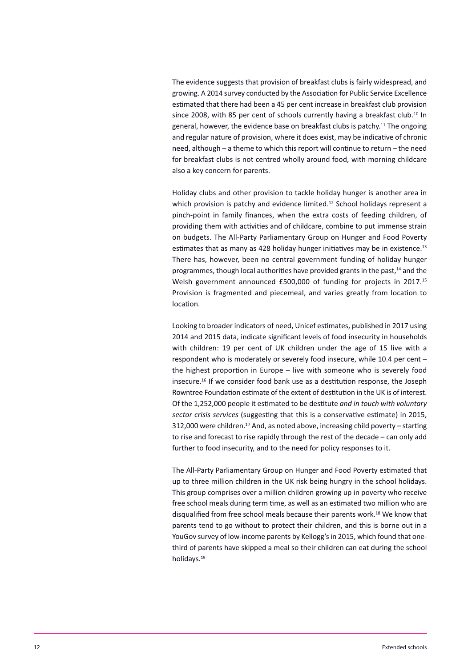The evidence suggests that provision of breakfast clubs is fairly widespread, and growing. A 2014 survey conducted by the Association for Public Service Excellence estimated that there had been a 45 per cent increase in breakfast club provision since 2008, with 85 per cent of schools currently having a breakfast club.<sup>10</sup> In general, however, the evidence base on breakfast clubs is patchy.<sup>11</sup> The ongoing and regular nature of provision, where it does exist, may be indicative of chronic need, although – a theme to which this report will continue to return – the need for breakfast clubs is not centred wholly around food, with morning childcare also a key concern for parents.

Holiday clubs and other provision to tackle holiday hunger is another area in which provision is patchy and evidence limited.<sup>12</sup> School holidays represent a pinch-point in family finances, when the extra costs of feeding children, of providing them with activities and of childcare, combine to put immense strain on budgets. The All-Party Parliamentary Group on Hunger and Food Poverty estimates that as many as 428 holiday hunger initiatives may be in existence.<sup>13</sup> There has, however, been no central government funding of holiday hunger programmes, though local authorities have provided grants in the past,<sup>14</sup> and the Welsh government announced £500,000 of funding for projects in 2017.<sup>15</sup> Provision is fragmented and piecemeal, and varies greatly from location to location.

Looking to broader indicators of need, Unicef estimates, published in 2017 using 2014 and 2015 data, indicate significant levels of food insecurity in households with children: 19 per cent of UK children under the age of 15 live with a respondent who is moderately or severely food insecure, while 10.4 per cent – the highest proportion in Europe – live with someone who is severely food insecure. <sup>16</sup> If we consider food bank use as a destitution response, the Joseph Rowntree Foundation estimate of the extent of destitution in the UK is of interest. Of the 1,252,000 people it estimated to be destitute *and in touch with voluntary sector crisis services* (suggesting that this is a conservative estimate) in 2015, 312,000 were children. <sup>17</sup> And, as noted above, increasing child poverty – starting to rise and forecast to rise rapidly through the rest of the decade – can only add further to food insecurity, and to the need for policy responses to it.

The All-Party Parliamentary Group on Hunger and Food Poverty estimated that up to three million children in the UK risk being hungry in the school holidays. This group comprises over a million children growing up in poverty who receive free school meals during term time, as well as an estimated two million who are disqualified from free school meals because their parents work. <sup>18</sup> We know that parents tend to go without to protect their children, and this is borne out in a YouGov survey of low-income parents by Kellogg's in 2015, which found that onethird of parents have skipped a meal so their children can eat during the school holidays. 19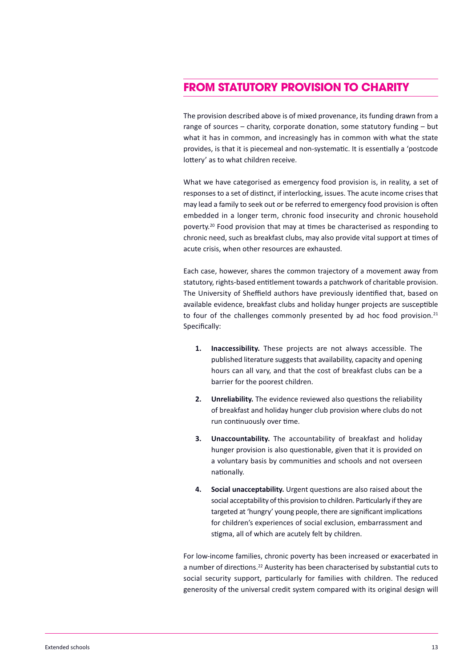# **from stAtutory Provision to chArity**

The provision described above is of mixed provenance, its funding drawn from a range of sources – charity, corporate donation, some statutory funding – but what it has in common, and increasingly has in common with what the state provides, is that it is piecemeal and non-systematic. It is essentially a 'postcode lottery' as to what children receive.

What we have categorised as emergency food provision is, in reality, a set of responsesto a set of distinct, if interlocking, issues. The acute income crisesthat may lead a family to seek out or be referred to emergency food provision is often embedded in a longer term, chronic food insecurity and chronic household poverty. <sup>20</sup> Food provision that may at times be characterised as responding to chronic need, such as breakfast clubs, may also provide vital support at times of acute crisis, when other resources are exhausted.

Each case, however, shares the common trajectory of a movement away from statutory, rights-based entitlement towards a patchwork of charitable provision. The University of Sheffield authors have previously identified that, based on available evidence, breakfast clubs and holiday hunger projects are susceptible to four of the challenges commonly presented by ad hoc food provision.<sup>21</sup> Specifically:

- **1. Inaccessibility.** These projects are not always accessible. The published literature suggests that availability, capacity and opening hours can all vary, and that the cost of breakfast clubs can be a barrier for the poorest children.
- **2. Unreliability.** The evidence reviewed also questions the reliability of breakfast and holiday hunger club provision where clubs do not run continuously over time.
- **3. Unaccountability.** The accountability of breakfast and holiday hunger provision is also questionable, given that it is provided on a voluntary basis by communities and schools and not overseen nationally.
- **4. Social unacceptability.** Urgent questions are also raised about the social acceptability of this provision to children. Particularly if they are targeted at 'hungry' young people, there are significant implications for children's experiences of social exclusion, embarrassment and stigma, all of which are acutely felt by children.

For low-income families, chronic poverty has been increased or exacerbated in a number of directions.<sup>22</sup> Austerity has been characterised by substantial cuts to social security support, particularly for families with children. The reduced generosity of the universal credit system compared with its original design will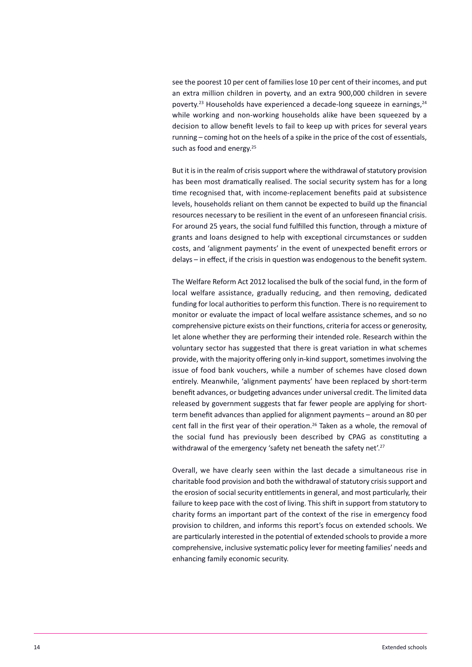see the poorest 10 per cent of families lose 10 per cent of their incomes, and put an extra million children in poverty, and an extra 900,000 children in severe poverty.<sup>23</sup> Households have experienced a decade-long squeeze in earnings,<sup>24</sup> while working and non-working households alike have been squeezed by a decision to allow benefit levels to fail to keep up with prices for several years running – coming hot on the heels of a spike in the price of the cost of essentials, such as food and energy.<sup>25</sup>

But it is in the realm of crisis support where the withdrawal of statutory provision has been most dramatically realised. The social security system has for a long time recognised that, with income-replacement benefits paid at subsistence levels, households reliant on them cannot be expected to build up the financial resources necessary to be resilient in the event of an unforeseen financial crisis. For around 25 years, the social fund fulfilled this function, through a mixture of grants and loans designed to help with exceptional circumstances or sudden costs, and 'alignment payments' in the event of unexpected benefit errors or delays – in effect, if the crisis in question was endogenous to the benefit system.

The Welfare Reform Act 2012 localised the bulk of the social fund, in the form of local welfare assistance, gradually reducing, and then removing, dedicated funding for local authorities to perform this function. There is no requirement to monitor or evaluate the impact of local welfare assistance schemes, and so no comprehensive picture exists on their functions, criteria for access or generosity, let alone whether they are performing their intended role. Research within the voluntary sector has suggested that there is great variation in what schemes provide, with the majority offering only in-kind support, sometimes involving the issue of food bank vouchers, while a number of schemes have closed down entirely. Meanwhile, 'alignment payments' have been replaced by short-term benefit advances, or budgeting advances under universal credit. The limited data released by government suggests that far fewer people are applying for shortterm benefit advances than applied for alignment payments – around an 80 per cent fall in the first year of their operation.<sup>26</sup> Taken as a whole, the removal of the social fund has previously been described by CPAG as constituting a withdrawal of the emergency 'safety net beneath the safety net'.<sup>27</sup>

Overall, we have clearly seen within the last decade a simultaneous rise in charitable food provision and both the withdrawal of statutory crisis support and the erosion of social security entitlements in general, and most particularly, their failure to keep pace with the cost of living. This shift in support from statutory to charity forms an important part of the context of the rise in emergency food provision to children, and informs this report's focus on extended schools. We are particularly interested in the potential of extended schools to provide a more comprehensive, inclusive systematic policy lever for meeting families' needs and enhancing family economic security.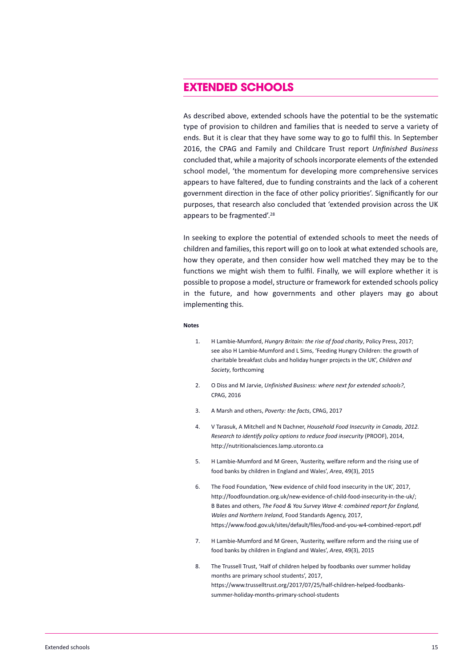## **extended schools**

As described above, extended schools have the potential to be the systematic type of provision to children and families that is needed to serve a variety of ends. But it is clear that they have some way to go to fulfil this. In September 2016, the CPAG and Family and Childcare Trust report *Unfinished Business* concluded that, while a majority of schools incorporate elements of the extended school model, 'the momentum for developing more comprehensive services appears to have faltered, due to funding constraints and the lack of a coherent government direction in the face of other policy priorities'. Significantly for our purposes, that research also concluded that 'extended provision across the UK appears to be fragmented'. 28

In seeking to explore the potential of extended schools to meet the needs of children and families, thisreport will go on to look at what extended schools are, how they operate, and then consider how well matched they may be to the functions we might wish them to fulfil. Finally, we will explore whether it is possible to propose a model, structure or framework for extended schools policy in the future, and how governments and other players may go about implementing this.

#### **Notes**

- 1. H Lambie-Mumford, *Hungry Britain: the rise of food charity*, Policy Press, 2017; see also H Lambie-Mumford and L Sims, 'Feeding Hungry Children: the growth of charitable breakfast clubs and holiday hunger projects in the UK', *Children and Society*, forthcoming
- 2. O Diss and M Jarvie, *Unfinished Business: where next for extended schools?*, CPAG, 2016
- 3. A Marsh and others, *Poverty: the facts*, CPAG, 2017
- 4. V Tarasuk, A Mitchell and N Dachner, *Household Food Insecurity in Canada, 2012. Research to identify policy options to reduce food insecurity* (PROOF), 2014, http://nutritionalsciences.lamp.utoronto.ca
- 5. H Lambie-Mumford and M Green, 'Austerity, welfare reform and the rising use of food banks by children in England and Wales', *Area*, 49(3), 2015
- 6. The Food Foundation, 'New evidence of child food insecurity in the UK', 2017, http://foodfoundation.org.uk/new-evidence-of-child-food-insecurity-in-the-uk/; B Bates and others, *The Food & You Survey Wave 4: combined report for England, Wales and Northern Ireland*, Food Standards Agency, 2017, https://www.food.gov.uk/sites/default/files/food-and-you-w4-combined-report.pdf
- 7. H Lambie-Mumford and M Green, 'Austerity, welfare reform and the rising use of food banks by children in England and Wales', *Area*, 49(3), 2015
- 8. The Trussell Trust, 'Half of children helped by foodbanks over summer holiday months are primary school students', 2017, https://www.trusselltrust.org/2017/07/25/half-children-helped-foodbankssummer-holiday-months-primary-school-students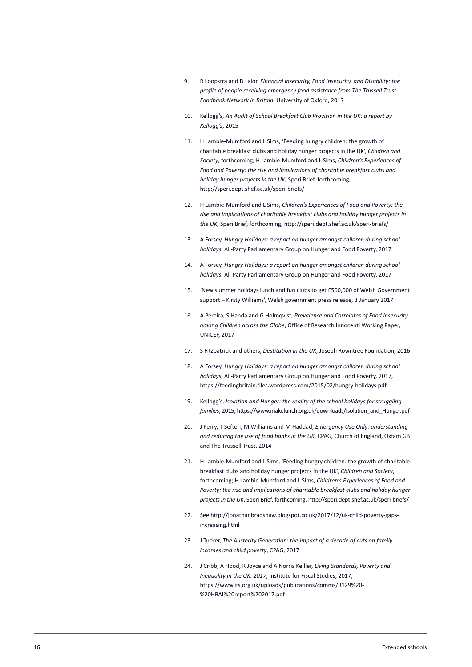- 9. R Loopstra and D Lalor, *Financial Insecurity, Food Insecurity, and Disability: the profile of people receiving emergency food assistance from The Trussell Trust Foodbank Network in Britain*, University of Oxford, 2017
- 10. Kellogg's, *An Audit of School Breakfast Club Provision in the UK: a report by Kellogg's*, 2015
- 11. H Lambie-Mumford and L Sims, 'Feeding hungry children: the growth of charitable breakfast clubs and holiday hunger projects in the UK', *Children and Society*, forthcoming; H Lambie-Mumford and L Sims, *Children's Experiences of Food and Poverty: the rise and implications of charitable breakfast clubs and holiday hunger projects in the UK*, Speri Brief, forthcoming, http://speri.dept.shef.ac.uk/speri-briefs/
- 12. H Lambie-Mumford and L Sims, *Children's Experiences of Food and Poverty: the rise and implications of charitable breakfast clubs and holiday hunger projects in the UK*, Speri Brief, forthcoming, http://speri.dept.shef.ac.uk/speri-briefs/
- 13. A Forsey, *Hungry Holidays: a report on hunger amongst children during school holidays*, All-Party Parliamentary Group on Hunger and Food Poverty, 2017
- 14. A Forsey, *Hungry Holidays: a report on hunger amongst children during school holidays*, All-Party Parliamentary Group on Hunger and Food Poverty, 2017
- 15. 'New summer holidays lunch and fun clubs to get £500,000 of Welsh Government support – Kirsty Williams', Welsh government press release, 3 January 2017
- 16. A Pereira, S Handa and G Holmqvist, *Prevalence and Correlates of Food Insecurity among Children across the Globe*, Office of Research Innocenti Working Paper, UNICEF, 2017
- 17. S Fitzpatrick and others, *Destitution in the UK*, Joseph Rowntree Foundation, 2016
- 18. A Forsey, *Hungry Holidays: a report on hunger amongst children during school holidays*, All-Party Parliamentary Group on Hunger and Food Poverty, 2017, https://feedingbritain.files.wordpress.com/2015/02/hungry-holidays.pdf
- 19. Kellogg's, *Isolation and Hunger: the reality of the school holidays for struggling families*, 2015, https://www.makelunch.org.uk/downloads/Isolation\_and\_Hunger.pdf
- 20. J Perry, T Sefton, M Williams and M Haddad, *Emergency Use Only: understanding and reducing the use of food banks in the UK*, CPAG, Church of England, Oxfam GB and The Trussell Trust, 2014
- 21. H Lambie-Mumford and L Sims, 'Feeding hungry children: the growth of charitable breakfast clubs and holiday hunger projects in the UK', *Children and Society*, forthcoming; H Lambie-Mumford and L Sims, *Children's Experiences of Food and Poverty: the rise and implications of charitable breakfast clubs and holiday hunger projects in the UK*, Speri Brief, forthcoming, http://speri.dept.shef.ac.uk/speri-briefs/
- 22. See http://jonathanbradshaw.blogspot.co.uk/2017/12/uk-child-poverty-gapsincreasing.html
- 23. J Tucker, *The Austerity Generation: the impact of a decade of cuts on family incomes and child poverty*, CPAG, 2017
- 24. J Cribb, A Hood, R Joyce and A Norris Keiller, *Living Standards, Poverty and Inequality in the UK: 2017*, Institute for Fiscal Studies, 2017, https://www.ifs.org.uk/uploads/publications/comms/R129%20- %20HBAI%20report%202017.pdf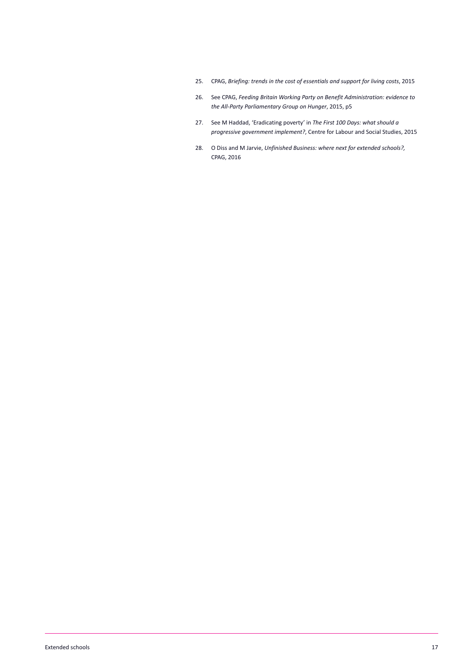- 25. CPAG, *Briefing: trends in the cost of essentials and support for living costs*, 2015
- 26. See CPAG, *Feeding Britain Working Party on Benefit Administration: evidence to the All-Party Parliamentary Group on Hunger*, 2015, p5
- 27. See M Haddad, 'Eradicating poverty' in *The First 100 Days: what should a progressive government implement?*, Centre for Labour and Social Studies, 2015
- 28. O Diss and M Jarvie, *Unfinished Business: where next for extended schools?,* CPAG, 2016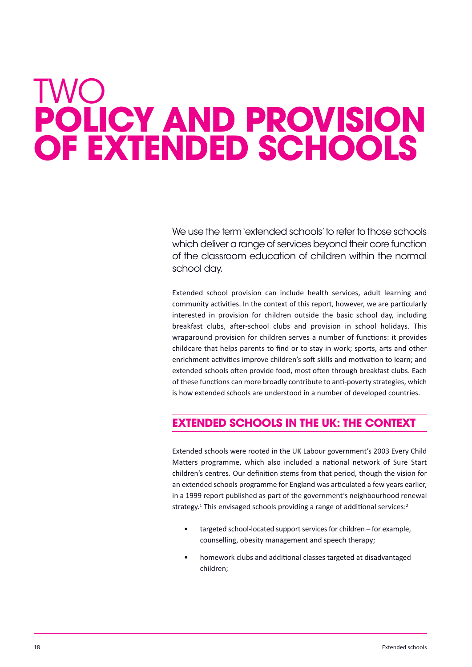# <span id="page-18-0"></span>TwO **Policy And Provision of extended schools**

We use the term 'extended schools' to refer to those schools which deliver a range of services beyond their core function of the classroom education of children within the normal school day.

Extended school provision can include health services, adult learning and community activities. In the context of this report, however, we are particularly interested in provision for children outside the basic school day, including breakfast clubs, after-school clubs and provision in school holidays. This wraparound provision for children serves a number of functions: it provides childcare that helps parents to find or to stay in work; sports, arts and other enrichment activities improve children's soft skills and motivation to learn; and extended schools often provide food, most often through breakfast clubs. Each of these functions can more broadly contribute to anti-poverty strategies, which is how extended schools are understood in a number of developed countries.

# **extended schools in the uk: the context**

Extended schools were rooted in the UK Labour government's 2003 Every Child Matters programme, which also included a national network of Sure Start children's centres. Our definition stems from that period, though the vision for an extended schools programme for England was articulated a few years earlier, in a 1999 report published as part of the government's neighbourhood renewal strategy.<sup>1</sup> This envisaged schools providing a range of additional services:<sup>2</sup>

- targeted school-located support services for children for example, counselling, obesity management and speech therapy;
- homework clubs and additional classes targeted at disadvantaged children;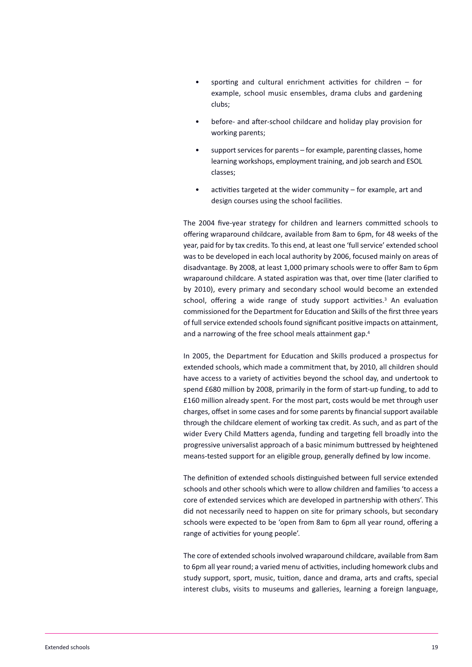- sporting and cultural enrichment activities for children  $-$  for example, school music ensembles, drama clubs and gardening clubs;
- before- and after-school childcare and holiday play provision for working parents;
- support services for parents for example, parenting classes, home learning workshops, employment training, and job search and ESOL classes;
- activities targeted at the wider community  $-$  for example, art and design courses using the school facilities.

The 2004 five-year strategy for children and learners committed schools to offering wraparound childcare, available from 8am to 6pm, for 48 weeks of the year, paid for by tax credits. To this end, at least one 'full service' extended school was to be developed in each local authority by 2006, focused mainly on areas of disadvantage. By 2008, at least 1,000 primary schools were to offer 8am to 6pm wraparound childcare. A stated aspiration was that, over time (later clarified to by 2010), every primary and secondary school would become an extended school, offering a wide range of study support activities. <sup>3</sup> An evaluation commissioned for the Department for Education and Skills of the first three years of full service extended schools found significant positive impacts on attainment, and a narrowing of the free school meals attainment gap. 4

In 2005, the Department for Education and Skills produced a prospectus for extended schools, which made a commitment that, by 2010, all children should have access to a variety of activities beyond the school day, and undertook to spend £680 million by 2008, primarily in the form of start-up funding, to add to £160 million already spent. For the most part, costs would be met through user charges, offset in some cases and for some parents by financial support available through the childcare element of working tax credit. As such, and as part of the wider Every Child Matters agenda, funding and targeting fell broadly into the progressive universalist approach of a basic minimum buttressed by heightened means-tested support for an eligible group, generally defined by low income.

The definition of extended schools distinguished between full service extended schools and other schools which were to allow children and families 'to access a core of extended services which are developed in partnership with others'. This did not necessarily need to happen on site for primary schools, but secondary schools were expected to be 'open from 8am to 6pm all year round, offering a range of activities for young people'.

The core of extended schoolsinvolved wraparound childcare, available from 8am to 6pm all year round; a varied menu of activities, including homework clubs and study support, sport, music, tuition, dance and drama, arts and crafts, special interest clubs, visits to museums and galleries, learning a foreign language,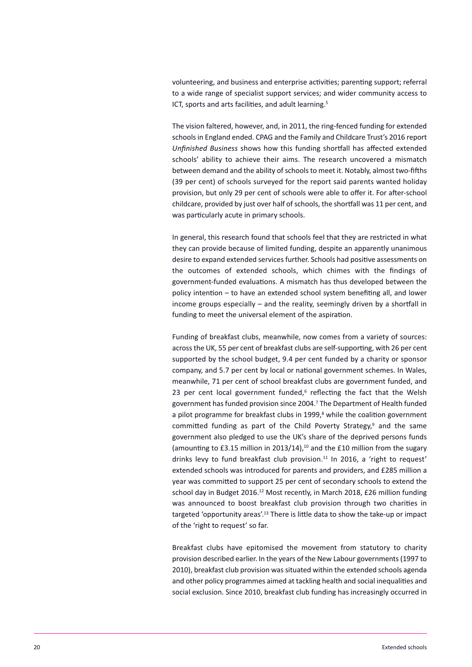volunteering, and business and enterprise activities; parenting support; referral to a wide range of specialist support services; and wider community access to ICT, sports and arts facilities, and adult learning.<sup>5</sup>

The vision faltered, however, and, in 2011, the ring-fenced funding for extended schoolsin England ended. CPAG and the Family and Childcare Trust's 2016 report *Unfinished Business* shows how this funding shortfall has affected extended schools' ability to achieve their aims. The research uncovered a mismatch between demand and the ability of schools to meet it. Notably, almost two-fifths (39 per cent) of schools surveyed for the report said parents wanted holiday provision, but only 29 per cent of schools were able to offer it. For after-school childcare, provided by just over half of schools, the shortfall was 11 per cent, and was particularly acute in primary schools.

In general, this research found that schools feel that they are restricted in what they can provide because of limited funding, despite an apparently unanimous desire to expand extended services further. Schools had positive assessments on the outcomes of extended schools, which chimes with the findings of government-funded evaluations. A mismatch has thus developed between the policy intention – to have an extended school system benefiting all, and lower income groups especially – and the reality, seemingly driven by a shortfall in funding to meet the universal element of the aspiration.

Funding of breakfast clubs, meanwhile, now comes from a variety of sources: acrossthe UK, 55 per cent of breakfast clubs are self-supporting, with 26 per cent supported by the school budget, 9.4 per cent funded by a charity or sponsor company, and 5.7 per cent by local or national government schemes. In Wales, meanwhile, 71 per cent of school breakfast clubs are government funded, and 23 per cent local government funded,<sup>6</sup> reflecting the fact that the Welsh government has funded provision since 2004.<sup>7</sup> The Department of Health funded a pilot programme for breakfast clubs in 1999,<sup>8</sup> while the coalition government committed funding as part of the Child Poverty Strategy,<sup>9</sup> and the same government also pledged to use the UK's share of the deprived persons funds (amounting to £3.15 million in 2013/14), <sup>10</sup> and the £10 million from the sugary drinks levy to fund breakfast club provision.<sup>11</sup> In 2016, a 'right to request' extended schools was introduced for parents and providers, and £285 million a year was committed to support 25 per cent of secondary schools to extend the school day in Budget 2016.<sup>12</sup> Most recently, in March 2018, £26 million funding was announced to boost breakfast club provision through two charities in targeted 'opportunity areas'.<sup>13</sup> There is little data to show the take-up or impact of the 'right to request' so far.

Breakfast clubs have epitomised the movement from statutory to charity provision described earlier. In the years of the New Labour governments(1997 to 2010), breakfast club provision was situated within the extended schools agenda and other policy programmes aimed at tackling health and social inequalities and social exclusion. Since 2010, breakfast club funding has increasingly occurred in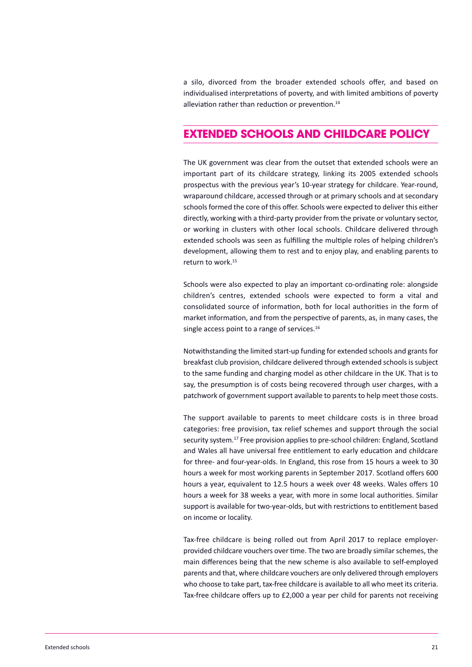a silo, divorced from the broader extended schools offer, and based on individualised interpretations of poverty, and with limited ambitions of poverty alleviation rather than reduction or prevention. 14

# **extended schools And childcAre Policy**

The UK government was clear from the outset that extended schools were an important part of its childcare strategy, linking its 2005 extended schools prospectus with the previous year's 10-year strategy for childcare. Year-round, wraparound childcare, accessed through or at primary schools and at secondary schools formed the core of this offer. Schools were expected to deliver this either directly, working with a third-party provider from the private or voluntary sector, or working in clusters with other local schools. Childcare delivered through extended schools was seen as fulfilling the multiple roles of helping children's development, allowing them to rest and to enjoy play, and enabling parents to return to work. 15

Schools were also expected to play an important co-ordinating role: alongside children's centres, extended schools were expected to form a vital and consolidated source of information, both for local authorities in the form of market information, and from the perspective of parents, as, in many cases, the single access point to a range of services.<sup>16</sup>

Notwithstanding the limited start-up funding for extended schools and grants for breakfast club provision, childcare delivered through extended schoolsissubject to the same funding and charging model as other childcare in the UK. That is to say, the presumption is of costs being recovered through user charges, with a patchwork of government support available to parents to help meet those costs.

The support available to parents to meet childcare costs is in three broad categories: free provision, tax relief schemes and support through the social security system.<sup>17</sup> Free provision applies to pre-school children: England, Scotland and Wales all have universal free entitlement to early education and childcare for three- and four-year-olds. In England, this rose from 15 hours a week to 30 hours a week for most working parents in September 2017. Scotland offers 600 hours a year, equivalent to 12.5 hours a week over 48 weeks. Wales offers 10 hours a week for 38 weeks a year, with more in some local authorities. Similar support is available for two-year-olds, but with restrictions to entitlement based on income or locality.

Tax-free childcare is being rolled out from April 2017 to replace employerprovided childcare vouchers over time. The two are broadly similar schemes, the main differences being that the new scheme is also available to self-employed parents and that, where childcare vouchers are only delivered through employers who choose to take part, tax-free childcare is available to all who meet its criteria. Tax-free childcare offers up to £2,000 a year per child for parents not receiving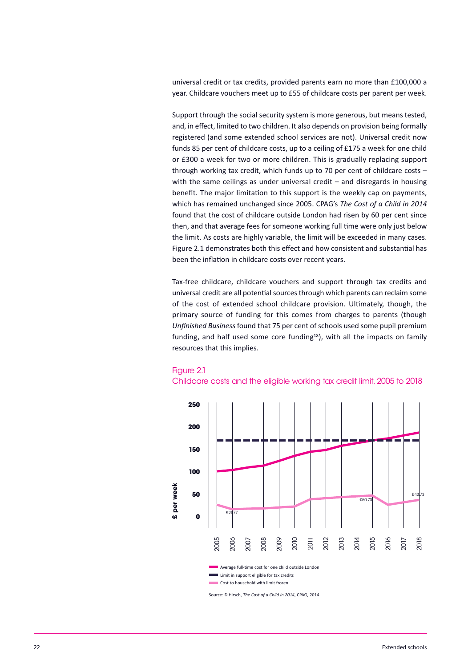universal credit or tax credits, provided parents earn no more than £100,000 a year. Childcare vouchers meet up to £55 of childcare costs per parent per week.

Support through the social security system is more generous, but means tested, and, in effect, limited to two children. It also depends on provision being formally registered (and some extended school services are not). Universal credit now funds 85 per cent of childcare costs, up to a ceiling of £175 a week for one child or £300 a week for two or more children. This is gradually replacing support through working tax credit, which funds up to 70 per cent of childcare costs – with the same ceilings as under universal credit – and disregards in housing benefit. The major limitation to this support is the weekly cap on payments, which has remained unchanged since 2005. CPAG's *The Cost of a Child in 2014* found that the cost of childcare outside London had risen by 60 per cent since then, and that average fees for someone working full time were only just below the limit. As costs are highly variable, the limit will be exceeded in many cases. Figure 2.1 demonstrates both this effect and how consistent and substantial has been the inflation in childcare costs over recent years.

Tax-free childcare, childcare vouchers and support through tax credits and universal credit are all potentialsourcesthrough which parents can reclaim some of the cost of extended school childcare provision. Ultimately, though, the primary source of funding for this comes from charges to parents (though *Unfinished Business* found that 75 per cent of schools used some pupil premium funding, and half used some core funding<sup>18</sup>), with all the impacts on family resources that this implies.

#### Figure 2.1





Source: D Hirsch, *The Cost of a Child in 2014*, CPAG, 2014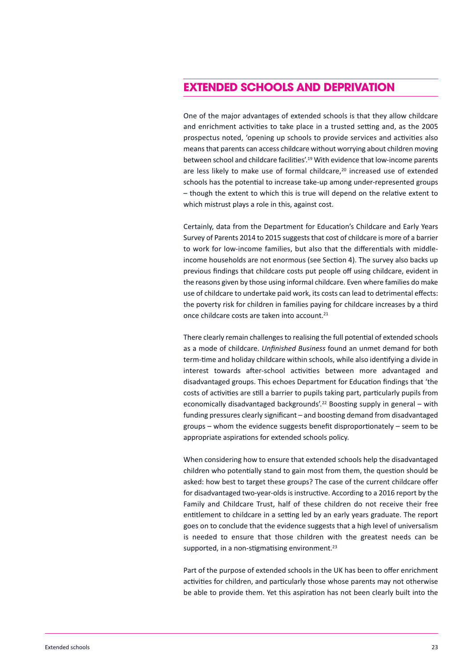# **extended schools And dePrivAtion**

One of the major advantages of extended schools is that they allow childcare and enrichment activities to take place in a trusted setting and, as the 2005 prospectus noted, 'opening up schools to provide services and activities also meansthat parents can access childcare without worrying about children moving between school and childcare facilities'. <sup>19</sup> With evidence that low-income parents are less likely to make use of formal childcare, <sup>20</sup> increased use of extended schools has the potential to increase take-up among under-represented groups – though the extent to which this is true will depend on the relative extent to which mistrust plays a role in this, against cost.

Certainly, data from the Department for Education's Childcare and Early Years Survey of Parents 2014 to 2015 suggests that cost of childcare is more of a barrier to work for low-income families, but also that the differentials with middleincome households are not enormous (see Section 4). The survey also backs up previous findings that childcare costs put people off using childcare, evident in the reasons given by those using informal childcare. Even where families do make use of childcare to undertake paid work, its costs can lead to detrimental effects: the poverty risk for children in families paying for childcare increases by a third once childcare costs are taken into account. 21

There clearly remain challenges to realising the full potential of extended schools as a mode of childcare. *Unfinished Business* found an unmet demand for both term-time and holiday childcare within schools, while also identifying a divide in interest towards after-school activities between more advantaged and disadvantaged groups. This echoes Department for Education findings that 'the costs of activities are still a barrier to pupils taking part, particularly pupils from economically disadvantaged backgrounds'. <sup>22</sup> Boosting supply in general – with funding pressures clearly significant – and boosting demand from disadvantaged groups – whom the evidence suggests benefit disproportionately – seem to be appropriate aspirations for extended schools policy.

When considering how to ensure that extended schools help the disadvantaged children who potentially stand to gain most from them, the question should be asked: how best to target these groups? The case of the current childcare offer for disadvantaged two-year-olds is instructive. According to a 2016 report by the Family and Childcare Trust, half of these children do not receive their free entitlement to childcare in a setting led by an early years graduate. The report goes on to conclude that the evidence suggests that a high level of universalism is needed to ensure that those children with the greatest needs can be supported, in a non-stigmatising environment.<sup>23</sup>

Part of the purpose of extended schools in the UK has been to offer enrichment activities for children, and particularly those whose parents may not otherwise be able to provide them. Yet this aspiration has not been clearly built into the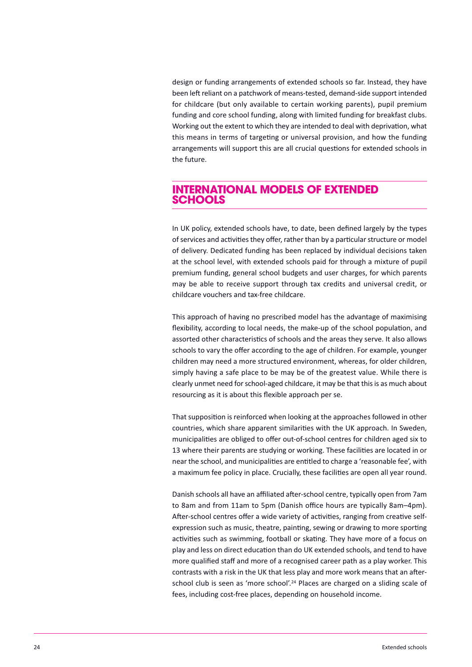design or funding arrangements of extended schools so far. Instead, they have been left reliant on a patchwork of means-tested, demand-side support intended for childcare (but only available to certain working parents), pupil premium funding and core school funding, along with limited funding for breakfast clubs. Working out the extent to which they are intended to deal with deprivation, what this means in terms of targeting or universal provision, and how the funding arrangements will support this are all crucial questions for extended schools in the future.

## **internAtionAl models of extended schools**

In UK policy, extended schools have, to date, been defined largely by the types of services and activities they offer, rather than by a particular structure or model of delivery. Dedicated funding has been replaced by individual decisions taken at the school level, with extended schools paid for through a mixture of pupil premium funding, general school budgets and user charges, for which parents may be able to receive support through tax credits and universal credit, or childcare vouchers and tax-free childcare.

This approach of having no prescribed model has the advantage of maximising flexibility, according to local needs, the make-up of the school population, and assorted other characteristics of schools and the areas they serve. It also allows schools to vary the offer according to the age of children. For example, younger children may need a more structured environment, whereas, for older children, simply having a safe place to be may be of the greatest value. While there is clearly unmet need forschool-aged childcare, it may be that thisis as much about resourcing as it is about this flexible approach per se.

That supposition is reinforced when looking at the approaches followed in other countries, which share apparent similarities with the UK approach. In Sweden, municipalities are obliged to offer out-of-school centres for children aged six to 13 where their parents are studying or working. These facilities are located in or near the school, and municipalities are entitled to charge a 'reasonable fee', with a maximum fee policy in place. Crucially, these facilities are open all year round.

Danish schools all have an affiliated after-school centre, typically open from 7am to 8am and from 11am to 5pm (Danish office hours are typically 8am–4pm). After-school centres offer a wide variety of activities, ranging from creative selfexpression such as music, theatre, painting, sewing or drawing to more sporting activities such as swimming, football or skating. They have more of a focus on play and less on direct education than do UK extended schools, and tend to have more qualified staff and more of a recognised career path as a play worker. This contrasts with a risk in the UK that less play and more work means that an afterschool club is seen as 'more school'.<sup>24</sup> Places are charged on a sliding scale of fees, including cost-free places, depending on household income.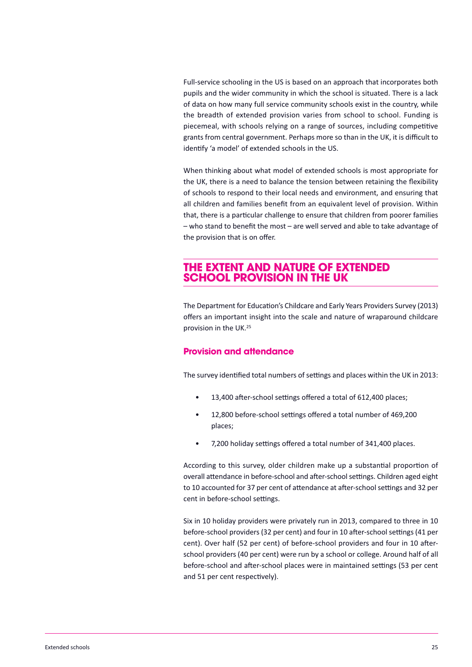Full-service schooling in the US is based on an approach that incorporates both pupils and the wider community in which the school is situated. There is a lack of data on how many full service community schools exist in the country, while the breadth of extended provision varies from school to school. Funding is piecemeal, with schools relying on a range of sources, including competitive grants from central government. Perhaps more so than in the UK, it is difficult to identify 'a model' of extended schools in the US.

When thinking about what model of extended schools is most appropriate for the UK, there is a need to balance the tension between retaining the flexibility of schools to respond to their local needs and environment, and ensuring that all children and families benefit from an equivalent level of provision. Within that, there is a particular challenge to ensure that children from poorer families – who stand to benefit the most – are well served and able to take advantage of the provision that is on offer.

# **the extent And nAture of extended school Provision in the uk**

The Department for Education's Childcare and Early Years Providers Survey (2013) offers an important insight into the scale and nature of wraparound childcare provision in the UK. 25

#### **Provision and attendance**

The survey identified total numbers of settings and places within the UK in 2013:

- 13,400 after-school settings offered a total of 612,400 places;
- 12,800 before-school settings offered a total number of 469,200 places;
- 7,200 holiday settings offered a total number of 341,400 places.

According to this survey, older children make up a substantial proportion of overall attendance in before-school and after-school settings. Children aged eight to 10 accounted for 37 per cent of attendance at after-school settings and 32 per cent in before-school settings.

Six in 10 holiday providers were privately run in 2013, compared to three in 10 before-school providers (32 per cent) and four in 10 after-school settings (41 per cent). Over half (52 per cent) of before-school providers and four in 10 afterschool providers (40 per cent) were run by a school or college. Around half of all before-school and after-school places were in maintained settings (53 per cent and 51 per cent respectively).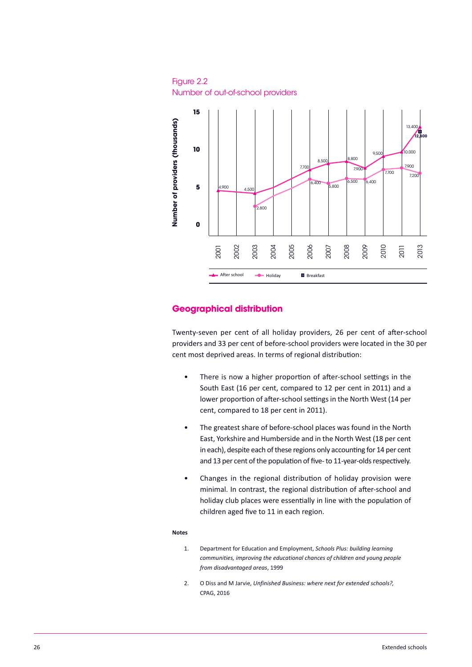Figure 2.2 number of out-of-school providers



#### **geographical distribution**

Twenty-seven per cent of all holiday providers, 26 per cent of after-school providers and 33 per cent of before-school providers were located in the 30 per cent most deprived areas. In terms of regional distribution:

- There is now a higher proportion of after-school settings in the South East (16 per cent, compared to 12 per cent in 2011) and a lower proportion of after-school settings in the North West (14 per cent, compared to 18 per cent in 2011).
- The greatest share of before-school places was found in the North East, Yorkshire and Humberside and in the North West (18 per cent in each), despite each of these regions only accounting for 14 per cent and 13 per cent of the population of five- to 11-year-olds respectively.
- Changes in the regional distribution of holiday provision were minimal. In contrast, the regional distribution of after-school and holiday club places were essentially in line with the population of children aged five to 11 in each region.

#### **Notes**

- 1. Department for Education and Employment, *Schools Plus: building learning communities, improving the educational chances of children and young people from disadvantaged areas*, 1999
- 2. O Diss and M Jarvie, *Unfinished Business: where next for extended schools?*, CPAG, 2016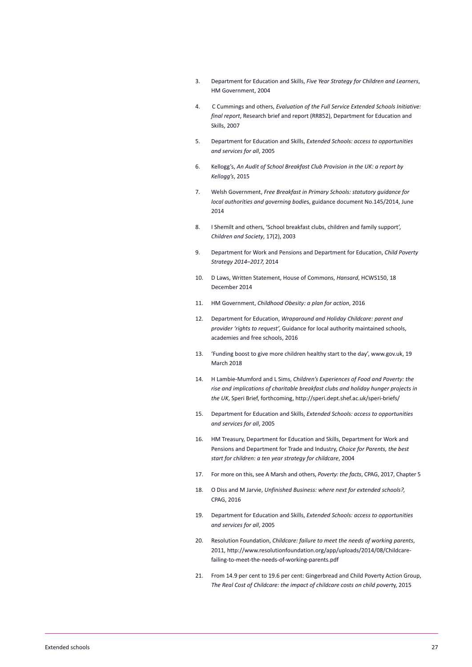- 3. Department for Education and Skills, *Five Year Strategy for Children and Learners*, HM Government, 2004
- 4. C Cummings and others, *Evaluation of the Full Service Extended Schools Initiative: final report*, Research brief and report (RR852), Department for Education and Skills, 2007
- 5. Department for Education and Skills, *Extended Schools: access to opportunities and services for all*, 2005
- 6. Kellogg's, *An Audit of School Breakfast Club Provision in the UK: a report by Kellogg's*, 2015
- 7. Welsh Government, *Free Breakfast in Primary Schools: statutory guidance for local authorities and governing bodie*s, guidance document No.145/2014, June 2014
- 8. I Shemilt and others, 'School breakfast clubs, children and family support', *Children and Society*, 17(2), 2003
- 9. Department for Work and Pensions and Department for Education, *Child Poverty Strategy 2014–2017*, 2014
- 10. D Laws, Written Statement, House of Commons, *Hansard*, HCWS150, 18 December 2014
- 11. HM Government, *Childhood Obesity: a plan for action*, 2016
- 12. Department for Education, *Wraparound and Holiday Childcare: parent and provider 'rights to request'*, Guidance for local authority maintained schools, academies and free schools, 2016
- 13. 'Funding boost to give more children healthy start to the day', www.gov.uk, 19 March 2018
- 14. H Lambie-Mumford and L Sims, *Children's Experiences of Food and Poverty: the rise and implications of charitable breakfast clubs and holiday hunger projects in the UK*, Speri Brief, forthcoming, http://speri.dept.shef.ac.uk/speri-briefs/
- 15. Department for Education and Skills, *Extended Schools: access to opportunities and services for all*, 2005
- 16. HM Treasury, Department for Education and Skills, Department for Work and Pensions and Department for Trade and Industry, *Choice for Parents, the best start for children: a ten year strategy for childcare*, 2004
- 17. For more on this, see A Marsh and others, *Poverty: the facts*, CPAG, 2017, Chapter 5
- 18. O Diss and M Jarvie, *Unfinished Business: where next for extended schools?*, CPAG, 2016
- 19. Department for Education and Skills, *Extended Schools: access to opportunities and services for all*, 2005
- 20. Resolution Foundation, *Childcare: failure to meet the needs of working parents*, 2011, http://www.resolutionfoundation.org/app/uploads/2014/08/Childcarefailing-to-meet-the-needs-of-working-parents.pdf
- 21. From 14.9 per cent to 19.6 per cent: Gingerbread and Child Poverty Action Group, *The Real Cost of Childcare: the impact of childcare costs on child povert*y, 2015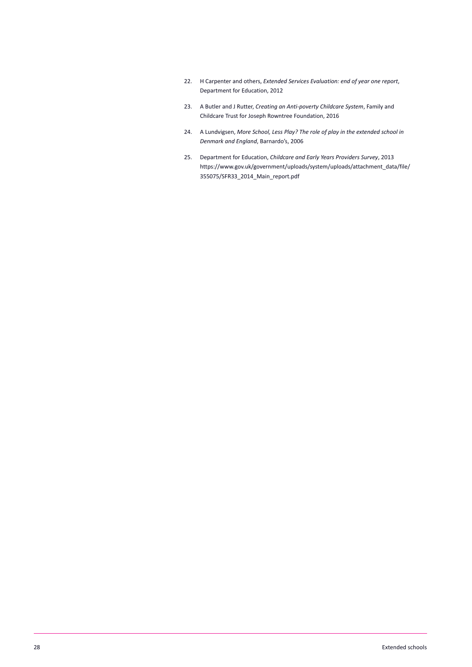- 22. H Carpenter and others, *Extended Services Evaluation: end of year one report*, Department for Education, 2012
- 23. A Butler and J Rutter, *Creating an Anti-poverty Childcare System*, Family and Childcare Trust for Joseph Rowntree Foundation, 2016
- 24. A Lundvigsen, *More School, Less Play? The role of play in the extended school in Denmark and England*, Barnardo's, 2006
- 25. Department for Education, *Childcare and Early Years Providers Survey*, 2013 [https://www.gov.uk/government/uploads/system/uploads/attachment\\_data/file/](https://www.gov.uk/government/uploads/system/uploads/attachment_data/file/355075/SFR33_2014_Main_report.pdf) 355075/SFR33\_2014\_Main\_report.pdf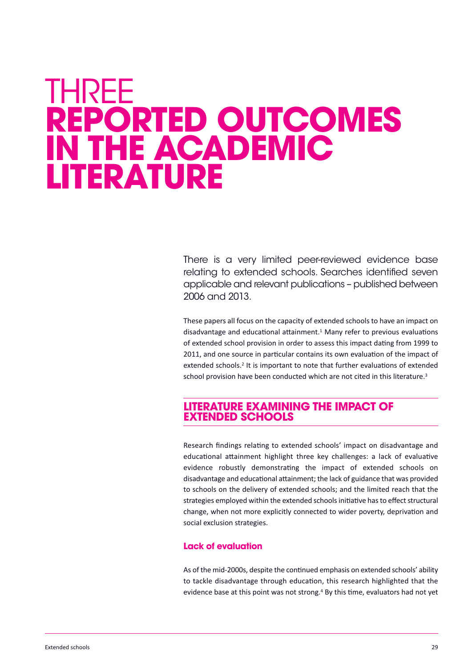# <span id="page-29-0"></span>**THREE rePorted outcomes in the AcAdemic literAture**

There is a very limited peer-reviewed evidence base relating to extended schools. Searches identified seven applicable and relevant publications – published between 2006 and 2013.

These papers all focus on the capacity of extended schools to have an impact on disadvantage and educational attainment. <sup>1</sup> Many refer to previous evaluations of extended school provision in order to assess this impact dating from 1999 to 2011, and one source in particular contains its own evaluation of the impact of extended schools. <sup>2</sup> It is important to note that further evaluations of extended school provision have been conducted which are not cited in this literature.<sup>3</sup>

## **literAture exAmining the imPAct of extended schools**

Research findings relating to extended schools' impact on disadvantage and educational attainment highlight three key challenges: a lack of evaluative evidence robustly demonstrating the impact of extended schools on disadvantage and educational attainment; the lack of guidance that was provided to schools on the delivery of extended schools; and the limited reach that the strategies employed within the extended schools initiative has to effect structural change, when not more explicitly connected to wider poverty, deprivation and social exclusion strategies.

#### **lack of evaluation**

As of the mid-2000s, despite the continued emphasis on extended schools' ability to tackle disadvantage through education, this research highlighted that the evidence base at this point was not strong. <sup>4</sup> By this time, evaluators had not yet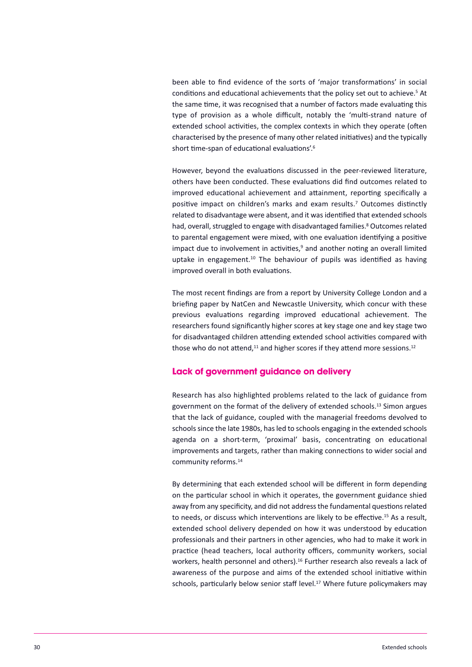been able to find evidence of the sorts of 'major transformations' in social conditions and educational achievements that the policy set out to achieve. <sup>5</sup> At the same time, it was recognised that a number of factors made evaluating this type of provision as a whole difficult, notably the 'multi-strand nature of extended school activities, the complex contexts in which they operate (often characterised by the presence of many other related initiatives) and the typically short time-span of educational evaluations'.<sup>6</sup>

However, beyond the evaluations discussed in the peer-reviewed literature, others have been conducted. These evaluations did find outcomes related to improved educational achievement and attainment, reporting specifically a positive impact on children's marks and exam results. <sup>7</sup> Outcomes distinctly related to disadvantage were absent, and it was identified that extended schools had, overall, struggled to engage with disadvantaged families.<sup>8</sup> Outcomes related to parental engagement were mixed, with one evaluation identifying a positive impact due to involvement in activities,<sup>9</sup> and another noting an overall limited uptake in engagement.<sup>10</sup> The behaviour of pupils was identified as having improved overall in both evaluations.

The most recent findings are from a report by University College London and a briefing paper by NatCen and Newcastle University, which concur with these previous evaluations regarding improved educational achievement. The researchers found significantly higher scores at key stage one and key stage two for disadvantaged children attending extended school activities compared with those who do not attend, $^{11}$  and higher scores if they attend more sessions.<sup>12</sup>

#### **lack of government guidance on delivery**

Research has also highlighted problems related to the lack of guidance from government on the format of the delivery of extended schools. <sup>13</sup> Simon argues that the lack of guidance, coupled with the managerial freedoms devolved to schools since the late 1980s, has led to schools engaging in the extended schools agenda on a short-term, 'proximal' basis, concentrating on educational improvements and targets, rather than making connections to wider social and community reforms. 14

By determining that each extended school will be different in form depending on the particular school in which it operates, the government guidance shied away from any specificity, and did not address the fundamental questions related to needs, or discuss which interventions are likely to be effective. <sup>15</sup> As a result, extended school delivery depended on how it was understood by education professionals and their partners in other agencies, who had to make it work in practice (head teachers, local authority officers, community workers, social workers, health personnel and others). <sup>16</sup> Further research also reveals a lack of awareness of the purpose and aims of the extended school initiative within schools, particularly below senior staff level. <sup>17</sup> Where future policymakers may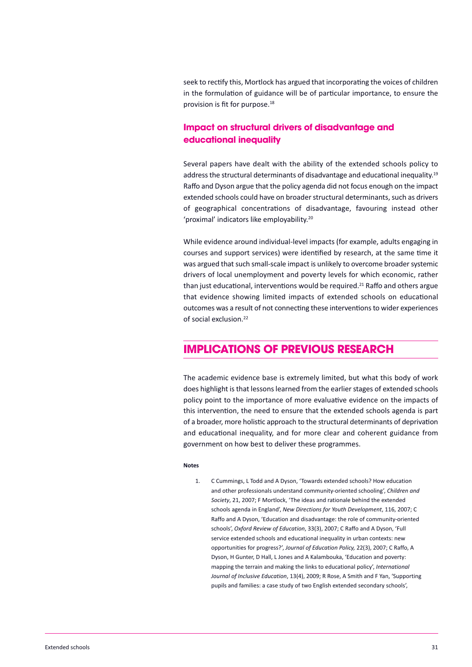seek to rectify this, Mortlock has argued that incorporating the voices of children in the formulation of guidance will be of particular importance, to ensure the provision is fit for purpose. 18

### **impact on structural drivers of disadvantage and educational inequality**

Several papers have dealt with the ability of the extended schools policy to address the structural determinants of disadvantage and educational inequality.<sup>19</sup> Raffo and Dyson argue that the policy agenda did not focus enough on the impact extended schools could have on broader structural determinants, such as drivers of geographical concentrations of disadvantage, favouring instead other 'proximal' indicators like employability.<sup>20</sup>

While evidence around individual-level impacts (for example, adults engaging in courses and support services) were identified by research, at the same time it was argued that such small-scale impact is unlikely to overcome broader systemic drivers of local unemployment and poverty levels for which economic, rather than just educational, interventions would be required.<sup>21</sup> Raffo and others argue that evidence showing limited impacts of extended schools on educational outcomes was a result of not connecting these interventions to wider experiences of social exclusion. 22

## **imPlicAtions of Previous reseArch**

The academic evidence base is extremely limited, but what this body of work does highlight is that lessons learned from the earlier stages of extended schools policy point to the importance of more evaluative evidence on the impacts of this intervention, the need to ensure that the extended schools agenda is part of a broader, more holistic approach to the structural determinants of deprivation and educational inequality, and for more clear and coherent guidance from government on how best to deliver these programmes.

#### **Notes**

1. C Cummings, L Todd and A Dyson, 'Towards extended schools? How education and other professionals understand community-oriented schooling', *Children and Society*, 21, 2007; F Mortlock, 'The ideas and rationale behind the extended schools agenda in England', *New Directions for Youth Development*, 116, 2007; C Raffo and A Dyson, 'Education and disadvantage: the role of community-oriented schools', *Oxford Review of Education*, 33(3), 2007; C Raffo and A Dyson, 'Full service extended schools and educational inequality in urban contexts: new opportunities for progress?', *Journal of Education Policy,* 22(3), 2007; C Raffo, A Dyson, H Gunter, D Hall, L Jones and A Kalambouka, 'Education and poverty: mapping the terrain and making the links to educational policy', *International Journal of Inclusive Education*, 13(4), 2009; R Rose, A Smith and F Yan, 'Supporting pupils and families: a case study of two English extended secondary schools',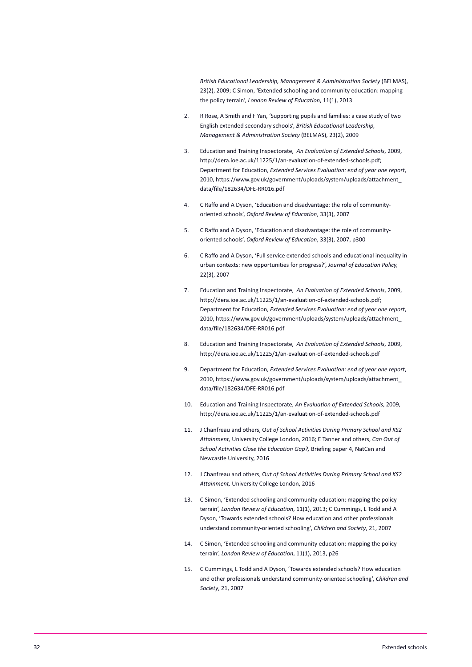*British Educational Leadership, Management & Administration Society* (BELMAS), 23(2), 2009; C Simon, 'Extended schooling and community education: mapping the policy terrain', *London Review of Education*, 11(1), 2013

- 2. R Rose, A Smith and F Yan, 'Supporting pupils and families: a case study of two English extended secondary schools', *British Educational Leadership, Management & Administration Society* (BELMAS), 23(2), 2009
- 3. Education and Training Inspectorate, *An Evaluation of Extended Schools*, 2009, http://dera.ioe.ac.uk/11225/1/an-evaluation-of-extended-schools.pdf; Department for Education, *Extended Services Evaluation: end of year one report*, 2010, [https://www.gov.uk/government/uploads/system/uploads/attachment\\_](https://www.gov.uk/government/uploads/system/uploads/attachment_data/file/182634/DFE-RR016.pdf) data/file/182634/DFE-RR016.pdf
- 4. C Raffo and A Dyson, 'Education and disadvantage: the role of communityoriented schools', *Oxford Review of Education*, 33(3), 2007
- 5. C Raffo and A Dyson, 'Education and disadvantage: the role of communityoriented schools', *Oxford Review of Education*, 33(3), 2007, p300
- 6. C Raffo and A Dyson, 'Full service extended schools and educational inequality in urban contexts: new opportunities for progress?', *Journal of Education Policy,* 22(3), 2007
- 7. Education and Training Inspectorate, *An Evaluation of Extended Schools*, 2009, http://dera.ioe.ac.uk/11225/1/an-evaluation-of-extended-schools.pdf; Department for Education, *Extended Services Evaluation: end of year one report*, 2010, [https://www.gov.uk/government/uploads/system/uploads/attachment\\_](https://www.gov.uk/government/uploads/system/uploads/attachment_data/file/182634/DFE-RR016.pdf) data/file/182634/DFE-RR016.pdf
- 8. Education and Training Inspectorate, *An Evaluation of Extended Schools*, 2009, http://dera.ioe.ac.uk/11225/1/an-evaluation-of-extended-schools.pdf
- 9. Department for Education, *Extended Services Evaluation: end of year one report*, 2010, [https://www.gov.uk/government/uploads/system/uploads/attachment\\_](https://www.gov.uk/government/uploads/system/uploads/attachment_data/file/182634/DFE-RR016.pdf) data/file/182634/DFE-RR016.pdf
- 10. Education and Training Inspectorate, *An Evaluation of Extended Schools*, 2009, http://dera.ioe.ac.uk/11225/1/an-evaluation-of-extended-schools.pdf
- 11. J Chanfreau and others, O*ut of School Activities During Primary School and KS2 Attainment,* University College London, 2016; E Tanner and others, *Can Out of School Activities Close the Education Gap?,* Briefing paper 4, NatCen and Newcastle University, 2016
- 12. J Chanfreau and others, O*ut of School Activities During Primary School and KS2 Attainment,* University College London, 2016
- 13. C Simon, 'Extended schooling and community education: mapping the policy terrain', *London Review of Education*, 11(1), 2013; C Cummings, L Todd and A Dyson, 'Towards extended schools? How education and other professionals understand community-oriented schooling', *Children and Society*, 21, 2007
- 14. C Simon, 'Extended schooling and community education: mapping the policy terrain', *London Review of Education*, 11(1), 2013, p26
- 15. C Cummings, L Todd and A Dyson, 'Towards extended schools? How education and other professionals understand community-oriented schooling', *Children and Society*, 21, 2007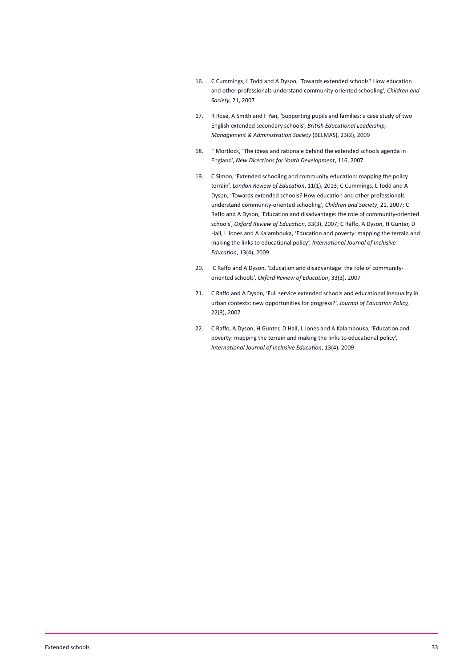- 16. C Cummings, L Todd and A Dyson, 'Towards extended schools? How education and other professionals understand community-oriented schooling', *Children and Society*, 21, 2007
- 17. R Rose, A Smith and F Yan, 'Supporting pupils and families: a case study of two English extended secondary schools', *British Educational Leadership, Management & Administration Society* (BELMAS), 23(2), 2009
- 18. F Mortlock, 'The ideas and rationale behind the extended schools agenda in England', *New Directions for Youth Development*, 116, 2007
- 19. C Simon, 'Extended schooling and community education: mapping the policy terrain', *London Review of Education*, 11(1), 2013; C Cummings, L Todd and A Dyson, 'Towards extended schools? How education and other professionals understand community-oriented schooling', *Children and Society*, 21, 2007; C Raffo and A Dyson, 'Education and disadvantage: the role of community-oriented schools', *Oxford Review of Education*, 33(3), 2007; C Raffo, A Dyson, H Gunter, D Hall, L Jones and A Kalambouka, 'Education and poverty: mapping the terrain and making the links to educational policy', *International Journal of Inclusive Education*, 13(4), 2009
- 20. C Raffo and A Dyson, 'Education and disadvantage: the role of communityoriented schools', *Oxford Review of Education*, 33(3), 2007
- 21. C Raffo and A Dyson, 'Full service extended schools and educational inequality in urban contexts: new opportunities for progress?', *Journal of Education Policy,* 22(3), 2007
- 22. C Raffo, A Dyson, H Gunter, D Hall, L Jones and A Kalambouka, 'Education and poverty: mapping the terrain and making the links to educational policy', *International Journal of Inclusive Education*, 13(4), 2009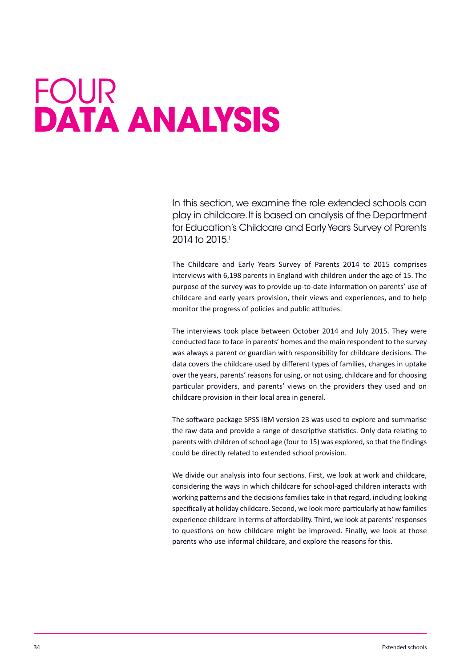# <span id="page-34-0"></span>FOur **dAtA AnAlysis**

in this section,we examine the role extended schools can play in childcare. It is based on analysis of the Department for Education's Childcare and Early Years Survey of Parents 2014 to 2015<sup>1</sup>

The Childcare and Early Years Survey of Parents 2014 to 2015 comprises interviews with 6,198 parents in England with children under the age of 15. The purpose of the survey was to provide up-to-date information on parents' use of childcare and early years provision, their views and experiences, and to help monitor the progress of policies and public attitudes.

The interviews took place between October 2014 and July 2015. They were conducted face to face in parents' homes and the main respondent to the survey was always a parent or guardian with responsibility for childcare decisions. The data covers the childcare used by different types of families, changes in uptake over the years, parents' reasonsfor using, or not using, childcare and for choosing particular providers, and parents' views on the providers they used and on childcare provision in their local area in general.

The software package SPSS IBM version 23 was used to explore and summarise the raw data and provide a range of descriptive statistics. Only data relating to parents with children of school age (four to 15) was explored, so that the findings could be directly related to extended school provision.

We divide our analysis into four sections. First, we look at work and childcare, considering the ways in which childcare for school-aged children interacts with working patterns and the decisions families take in that regard, including looking specifically at holiday childcare. Second, we look more particularly at how families experience childcare in terms of affordability. Third, we look at parents' responses to questions on how childcare might be improved. Finally, we look at those parents who use informal childcare, and explore the reasons for this.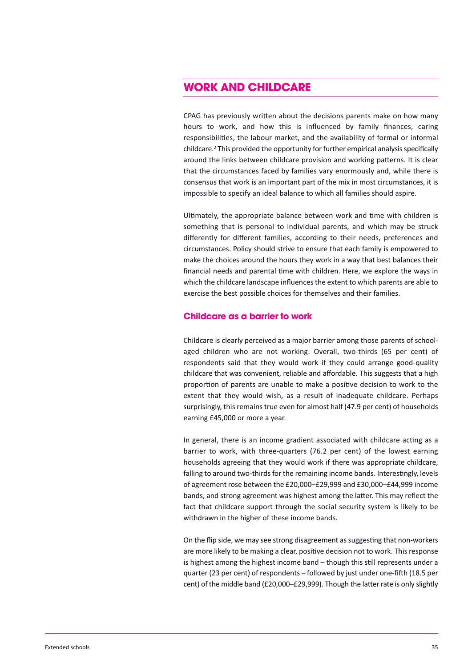## **work And childcAre**

CPAG has previously written about the decisions parents make on how many hours to work, and how this is influenced by family finances, caring responsibilities, the labour market, and the availability of formal or informal childcare.<sup>2</sup> This provided the opportunity for further empirical analysis specifically around the links between childcare provision and working patterns. It is clear that the circumstances faced by families vary enormously and, while there is consensus that work is an important part of the mix in most circumstances, it is impossible to specify an ideal balance to which all families should aspire.

Ultimately, the appropriate balance between work and time with children is something that is personal to individual parents, and which may be struck differently for different families, according to their needs, preferences and circumstances. Policy should strive to ensure that each family is empowered to make the choices around the hours they work in a way that best balances their financial needs and parental time with children. Here, we explore the ways in which the childcare landscape influences the extent to which parents are able to exercise the best possible choices for themselves and their families.

#### **childcare as a barrier to work**

Childcare is clearly perceived as a major barrier among those parents of schoolaged children who are not working. Overall, two-thirds (65 per cent) of respondents said that they would work if they could arrange good-quality childcare that was convenient, reliable and affordable. This suggests that a high proportion of parents are unable to make a positive decision to work to the extent that they would wish, as a result of inadequate childcare. Perhaps surprisingly, this remains true even for almost half (47.9 per cent) of households earning £45,000 or more a year.

In general, there is an income gradient associated with childcare acting as a barrier to work, with three-quarters (76.2 per cent) of the lowest earning households agreeing that they would work if there was appropriate childcare, falling to around two-thirds for the remaining income bands. Interestingly, levels of agreement rose between the £20,000–£29,999 and £30,000–£44,999 income bands, and strong agreement was highest among the latter. This may reflect the fact that childcare support through the social security system is likely to be withdrawn in the higher of these income bands.

On the flip side, we may see strong disagreement assuggesting that non-workers are more likely to be making a clear, positive decision not to work. This response is highest among the highest income band – though this still represents under a quarter (23 per cent) of respondents – followed by just under one-fifth (18.5 per cent) of the middle band (£20,000–£29,999). Though the latter rate is only slightly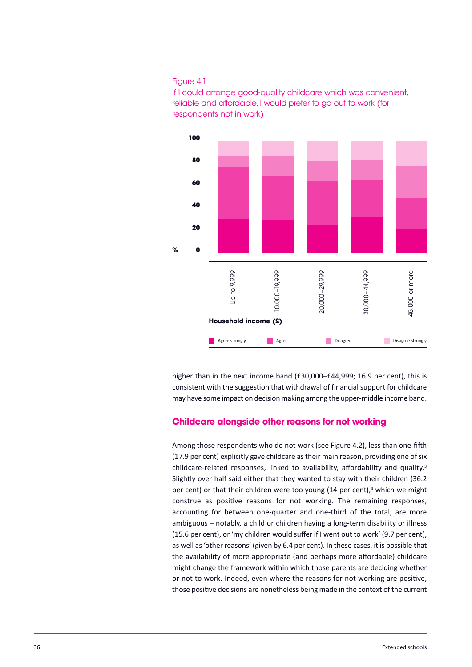#### Figure 4.1





higher than in the next income band (£30,000–£44,999; 16.9 per cent), this is consistent with the suggestion that withdrawal of financial support for childcare may have some impact on decision making among the upper-middle income band.

#### **childcare alongside other reasons for not working**

Among those respondents who do not work (see Figure 4.2), less than one-fifth (17.9 per cent) explicitly gave childcare as their main reason, providing one of six childcare-related responses, linked to availability, affordability and quality.<sup>3</sup> Slightly over half said either that they wanted to stay with their children (36.2 per cent) or that their children were too young (14 per cent),<sup>4</sup> which we might construe as positive reasons for not working. The remaining responses, accounting for between one-quarter and one-third of the total, are more ambiguous – notably, a child or children having a long-term disability or illness (15.6 per cent), or 'my children would suffer if I went out to work' (9.7 per cent), as well as'other reasons' (given by 6.4 per cent). In these cases, it is possible that the availability of more appropriate (and perhaps more affordable) childcare might change the framework within which those parents are deciding whether or not to work. Indeed, even where the reasons for not working are positive, those positive decisions are nonetheless being made in the context of the current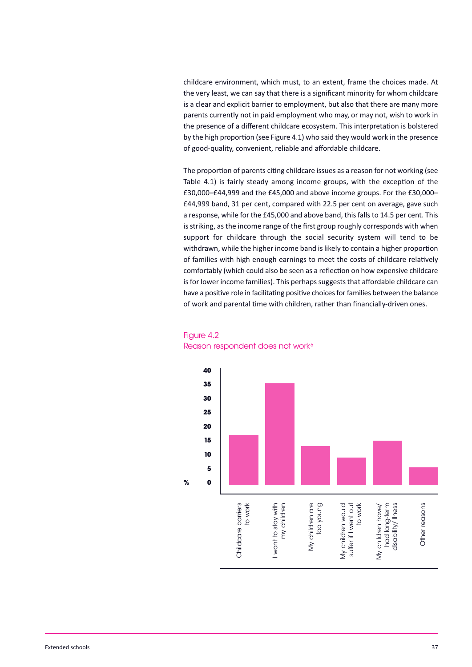childcare environment, which must, to an extent, frame the choices made. At the very least, we can say that there is a significant minority for whom childcare is a clear and explicit barrier to employment, but also that there are many more parents currently not in paid employment who may, or may not, wish to work in the presence of a different childcare ecosystem. This interpretation is bolstered by the high proportion (see Figure 4.1) who said they would work in the presence of good-quality, convenient, reliable and affordable childcare.

The proportion of parents citing childcare issues as a reason for not working (see Table 4.1) is fairly steady among income groups, with the exception of the £30,000–£44,999 and the £45,000 and above income groups. For the £30,000– £44,999 band, 31 per cent, compared with 22.5 per cent on average, gave such a response, while for the £45,000 and above band, this falls to 14.5 per cent. This is striking, as the income range of the first group roughly corresponds with when support for childcare through the social security system will tend to be withdrawn, while the higher income band islikely to contain a higher proportion of families with high enough earnings to meet the costs of childcare relatively comfortably (which could also be seen as a reflection on how expensive childcare is for lower income families). This perhaps suggests that affordable childcare can have a positive role in facilitating positive choices for families between the balance of work and parental time with children, rather than financially-driven ones.



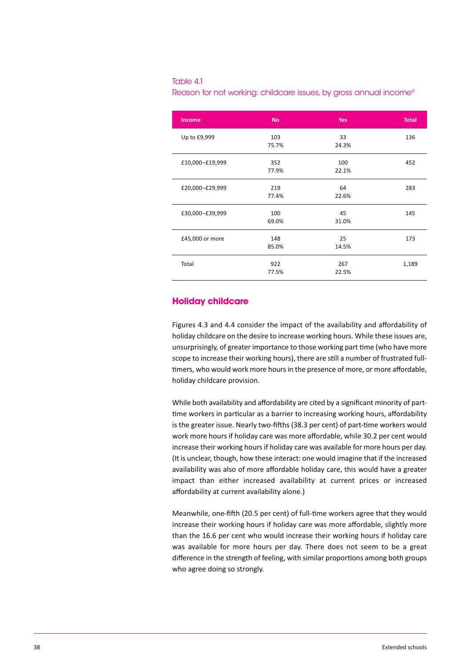#### Table 4.1

Reason for not working: childcare issues, by gross annual income<sup>6</sup>

| Income          | <b>No</b>    | <b>Yes</b>   | <b>Total</b> |
|-----------------|--------------|--------------|--------------|
| Up to £9,999    | 103<br>75.7% | 33<br>24.3%  | 136          |
| £10,000-£19,999 | 352<br>77.9% | 100<br>22.1% | 452          |
| £20,000-£29,999 | 219<br>77.4% | 64<br>22.6%  | 283          |
| £30,000-£39,999 | 100<br>69.0% | 45<br>31.0%  | 145          |
| £45,000 or more | 148<br>85.0% | 25<br>14.5%  | 173          |
| Total           | 922<br>77.5% | 267<br>22.5% | 1,189        |

#### **holiday childcare**

Figures 4.3 and 4.4 consider the impact of the availability and affordability of holiday childcare on the desire to increase working hours. While these issues are, unsurprisingly, of greater importance to those working part time (who have more scope to increase their working hours), there are still a number of frustrated fulltimers, who would work more hours in the presence of more, or more affordable, holiday childcare provision.

While both availability and affordability are cited by a significant minority of parttime workers in particular as a barrier to increasing working hours, affordability is the greater issue. Nearly two-fifths (38.3 per cent) of part-time workers would work more hours if holiday care was more affordable, while 30.2 per cent would increase their working hours if holiday care was available for more hours per day. (It is unclear, though, how these interact: one would imagine that if the increased availability was also of more affordable holiday care, this would have a greater impact than either increased availability at current prices or increased affordability at current availability alone.)

Meanwhile, one-fifth (20.5 per cent) of full-time workers agree that they would increase their working hours if holiday care was more affordable, slightly more than the 16.6 per cent who would increase their working hours if holiday care was available for more hours per day. There does not seem to be a great difference in the strength of feeling, with similar proportions among both groups who agree doing so strongly.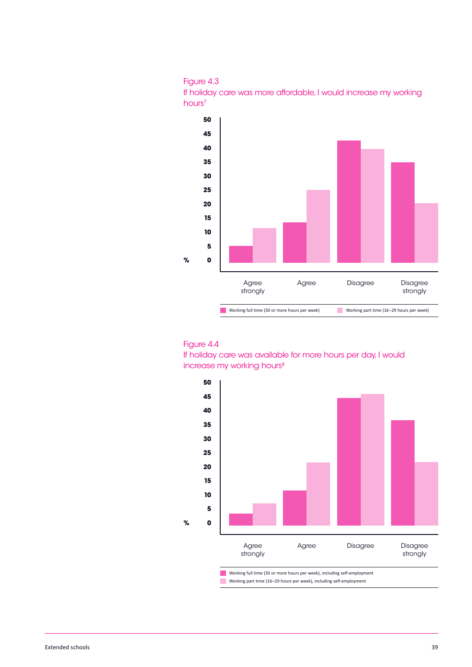





if holiday care was available for more hours per day, i would increase my working hours<sup>8</sup>

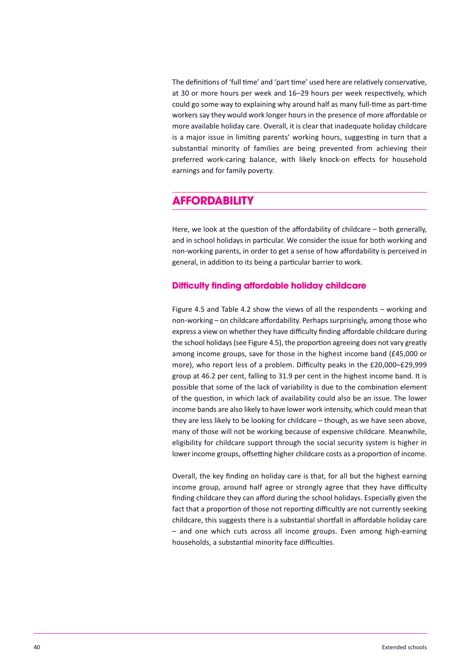The definitions of 'full time' and 'part time' used here are relatively conservative, at 30 or more hours per week and 16–29 hours per week respectively, which could go some way to explaining why around half as many full-time as part-time workerssay they would work longer hoursin the presence of more affordable or more available holiday care. Overall, it is clear that inadequate holiday childcare is a major issue in limiting parents' working hours, suggesting in turn that a substantial minority of families are being prevented from achieving their preferred work-caring balance, with likely knock-on effects for household earnings and for family poverty.

# **AffordAbility**

Here, we look at the question of the affordability of childcare – both generally, and in school holidays in particular. We consider the issue for both working and non-working parents, in order to get a sense of how affordability is perceived in general, in addition to its being a particular barrier to work.

#### **difficulty finding affordable holiday childcare**

Figure 4.5 and Table 4.2 show the views of all the respondents – working and non-working – on childcare affordability. Perhaps surprisingly, among those who express a view on whether they have difficulty finding affordable childcare during the school holidays(see Figure 4.5), the proportion agreeing does not vary greatly among income groups, save for those in the highest income band (£45,000 or more), who report less of a problem. Difficulty peaks in the £20,000–£29,999 group at 46.2 per cent, falling to 31.9 per cent in the highest income band. It is possible that some of the lack of variability is due to the combination element of the question, in which lack of availability could also be an issue. The lower income bands are also likely to have lower work intensity, which could mean that they are less likely to be looking for childcare – though, as we have seen above, many of those will not be working because of expensive childcare. Meanwhile, eligibility for childcare support through the social security system is higher in lower income groups, offsetting higher childcare costs as a proportion of income.

Overall, the key finding on holiday care is that, for all but the highest earning income group, around half agree or strongly agree that they have difficulty finding childcare they can afford during the school holidays. Especially given the fact that a proportion of those not reporting difficultly are not currently seeking childcare, this suggests there is a substantial shortfall in affordable holiday care – and one which cuts across all income groups. Even among high-earning households, a substantial minority face difficulties.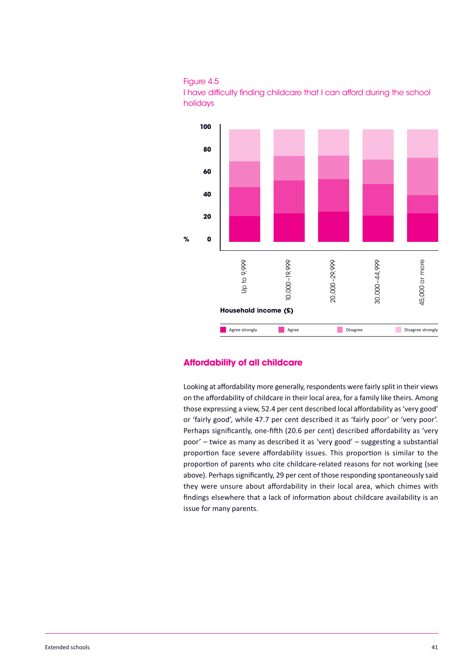





#### **Affordability of all childcare**

Looking at affordability more generally, respondents were fairly split in their views on the affordability of childcare in their local area, for a family like theirs. Among those expressing a view, 52.4 per cent described local affordability as'very good' or 'fairly good', while 47.7 per cent described it as 'fairly poor' or 'very poor'. Perhaps significantly, one-fifth (20.6 per cent) described affordability as 'very poor' – twice as many as described it as 'very good' – suggesting a substantial proportion face severe affordability issues. This proportion is similar to the proportion of parents who cite childcare-related reasons for not working (see above). Perhaps significantly, 29 per cent of those responding spontaneously said they were unsure about affordability in their local area, which chimes with findings elsewhere that a lack of information about childcare availability is an issue for many parents.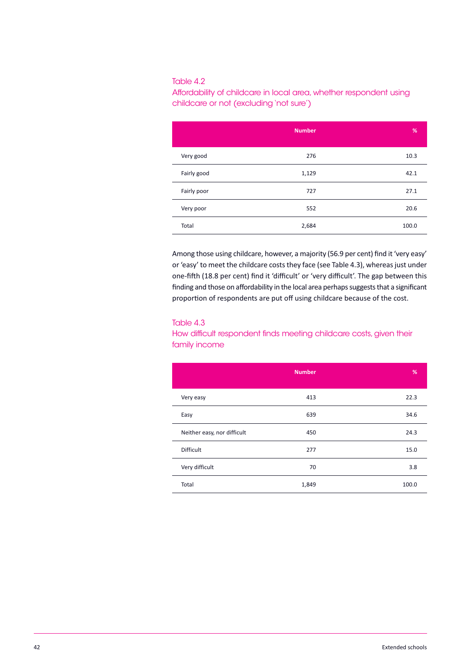#### Table 4.2

Affordability of childcare in local area, whether respondent using childcare or not (excluding'not sure')

|             | <b>Number</b> | %     |
|-------------|---------------|-------|
| Very good   | 276           | 10.3  |
| Fairly good | 1,129         | 42.1  |
| Fairly poor | 727           | 27.1  |
| Very poor   | 552           | 20.6  |
| Total       | 2,684         | 100.0 |

Among those using childcare, however, a majority (56.9 per cent) find it 'very easy' or 'easy' to meet the childcare costs they face (see Table 4.3), whereas just under one-fifth (18.8 per cent) find it 'difficult' or 'very difficult'. The gap between this finding and those on affordability in the local area perhaps suggests that a significant proportion of respondents are put off using childcare because of the cost.

#### Table 4.3

#### How difficult respondent finds meeting childcare costs, given their family income

|                             | <b>Number</b> | %     |
|-----------------------------|---------------|-------|
| Very easy                   | 413           | 22.3  |
| Easy                        | 639           | 34.6  |
| Neither easy, nor difficult | 450           | 24.3  |
| <b>Difficult</b>            | 277           | 15.0  |
| Very difficult              | 70            | 3.8   |
| Total                       | 1,849         | 100.0 |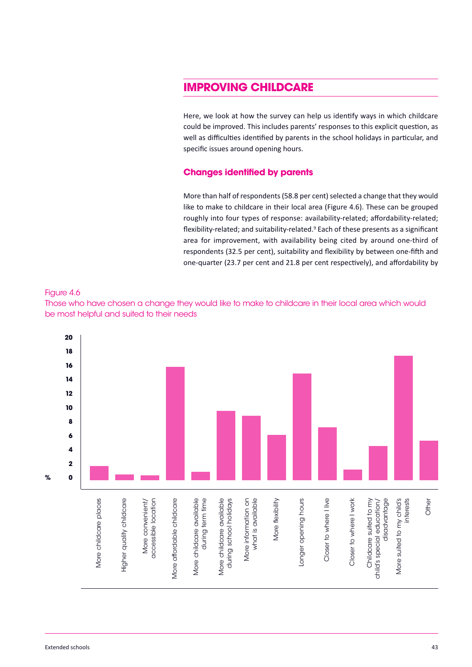# **imProving childcAre**

Here, we look at how the survey can help us identify ways in which childcare could be improved. This includes parents' responses to this explicit question, as well as difficulties identified by parents in the school holidays in particular, and specific issues around opening hours.

#### **changes identified by parents**

More than half of respondents (58.8 per cent) selected a change that they would like to make to childcare in their local area (Figure 4.6). These can be grouped roughly into four types of response: availability-related; affordability-related; flexibility-related; and suitability-related.<sup>9</sup> Each of these presents as a significant area for improvement, with availability being cited by around one-third of respondents (32.5 per cent), suitability and flexibility by between one-fifth and one-quarter (23.7 per cent and 21.8 per cent respectively), and affordability by





Those who have chosen a change they would like to make to childcare in their local area which would be most helpful and suited to their needs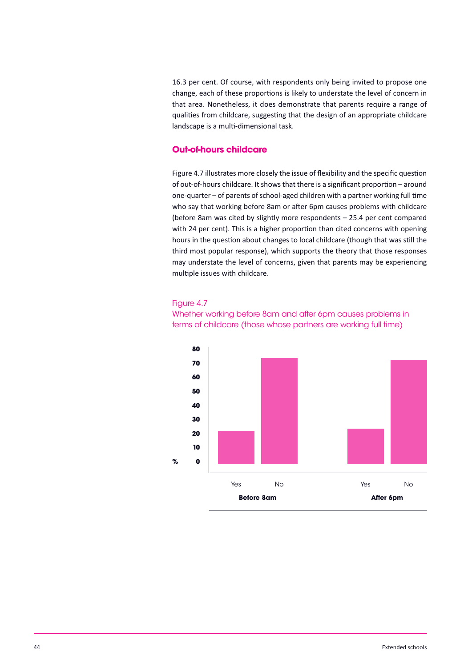16.3 per cent. Of course, with respondents only being invited to propose one change, each of these proportions is likely to understate the level of concern in that area. Nonetheless, it does demonstrate that parents require a range of qualities from childcare, suggesting that the design of an appropriate childcare landscape is a multi-dimensional task.

#### **out-of-hours childcare**

Figure 4.7 illustrates more closely the issue of flexibility and the specific question of out-of-hours childcare. It shows that there is a significant proportion – around one-quarter – of parents of school-aged children with a partner working full time who say that working before 8am or after 6pm causes problems with childcare (before 8am was cited by slightly more respondents – 25.4 per cent compared with 24 per cent). This is a higher proportion than cited concerns with opening hours in the question about changes to local childcare (though that was still the third most popular response), which supports the theory that those responses may understate the level of concerns, given that parents may be experiencing multiple issues with childcare.

#### Figure 4.7

whether working before 8am and after 6pm causes problems in terms of childcare (those whose partners are working full time)

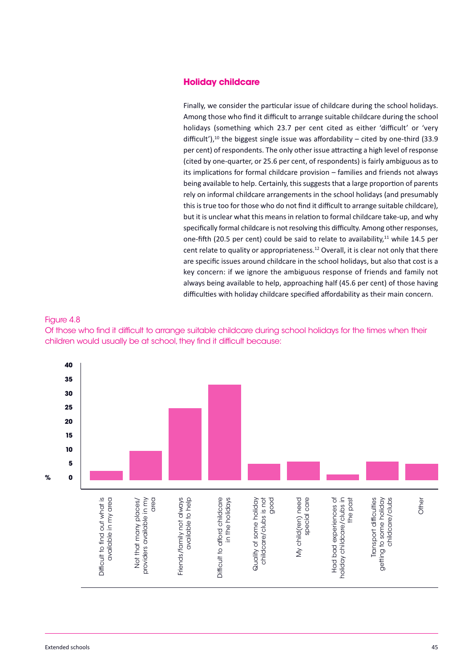#### **holiday childcare**

Finally, we consider the particular issue of childcare during the school holidays. Among those who find it difficult to arrange suitable childcare during the school holidays (something which 23.7 per cent cited as either 'difficult' or 'very difficult'),<sup>10</sup> the biggest single issue was affordability  $-$  cited by one-third (33.9 per cent) of respondents. The only other issue attracting a high level of response (cited by one-quarter, or 25.6 per cent, of respondents) is fairly ambiguous as to its implications for formal childcare provision – families and friends not always being available to help. Certainly, this suggests that a large proportion of parents rely on informal childcare arrangements in the school holidays (and presumably this is true too for those who do not find it difficult to arrange suitable childcare), but it is unclear what this means in relation to formal childcare take-up, and why specifically formal childcare is not resolving this difficulty. Among other responses, one-fifth (20.5 per cent) could be said to relate to availability, $11$  while 14.5 per cent relate to quality or appropriateness.<sup>12</sup> Overall, it is clear not only that there are specific issues around childcare in the school holidays, but also that cost is a key concern: if we ignore the ambiguous response of friends and family not always being available to help, approaching half (45.6 per cent) of those having difficulties with holiday childcare specified affordability as their main concern.

#### Figure 4.8

Of those who find it difficult to arrange suitable childcare during school holidays for the times when their children would usually be at school, they find it difficult because:

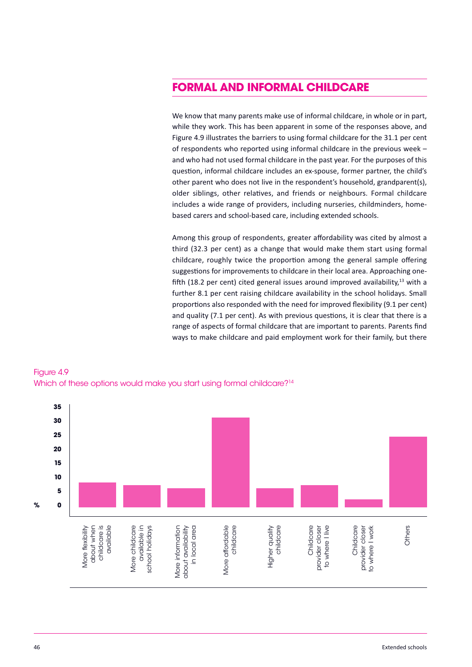# **formAl And informAl childcAre**

We know that many parents make use of informal childcare, in whole or in part, while they work. This has been apparent in some of the responses above, and Figure 4.9 illustrates the barriers to using formal childcare for the 31.1 per cent of respondents who reported using informal childcare in the previous week – and who had not used formal childcare in the past year. For the purposes of this question, informal childcare includes an ex-spouse, former partner, the child's other parent who does not live in the respondent's household, grandparent(s), older siblings, other relatives, and friends or neighbours. Formal childcare includes a wide range of providers, including nurseries, childminders, homebased carers and school-based care, including extended schools.

Among this group of respondents, greater affordability was cited by almost a third (32.3 per cent) as a change that would make them start using formal childcare, roughly twice the proportion among the general sample offering suggestions for improvements to childcare in their local area. Approaching onefifth (18.2 per cent) cited general issues around improved availability,<sup>13</sup> with a further 8.1 per cent raising childcare availability in the school holidays. Small proportions also responded with the need for improved flexibility (9.1 per cent) and quality (7.1 per cent). As with previous questions, it is clear that there is a range of aspects of formal childcare that are important to parents. Parents find ways to make childcare and paid employment work for their family, but there



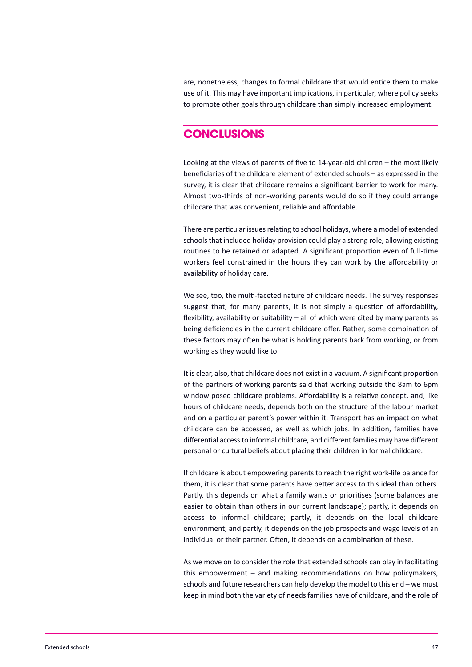are, nonetheless, changes to formal childcare that would entice them to make use of it. This may have important implications, in particular, where policy seeks to promote other goals through childcare than simply increased employment.

### **conclusions**

Looking at the views of parents of five to 14-year-old children – the most likely beneficiaries of the childcare element of extended schools – as expressed in the survey, it is clear that childcare remains a significant barrier to work for many. Almost two-thirds of non-working parents would do so if they could arrange childcare that was convenient, reliable and affordable.

There are particular issues relating to school holidays, where a model of extended schools that included holiday provision could play a strong role, allowing existing routines to be retained or adapted. A significant proportion even of full-time workers feel constrained in the hours they can work by the affordability or availability of holiday care.

We see, too, the multi-faceted nature of childcare needs. The survey responses suggest that, for many parents, it is not simply a question of affordability, flexibility, availability or suitability – all of which were cited by many parents as being deficiencies in the current childcare offer. Rather, some combination of these factors may often be what is holding parents back from working, or from working as they would like to.

It is clear, also, that childcare does not exist in a vacuum. A significant proportion of the partners of working parents said that working outside the 8am to 6pm window posed childcare problems. Affordability is a relative concept, and, like hours of childcare needs, depends both on the structure of the labour market and on a particular parent's power within it. Transport has an impact on what childcare can be accessed, as well as which jobs. In addition, families have differential accessto informal childcare, and different families may have different personal or cultural beliefs about placing their children in formal childcare.

If childcare is about empowering parents to reach the right work-life balance for them, it is clear that some parents have better access to this ideal than others. Partly, this depends on what a family wants or prioritises (some balances are easier to obtain than others in our current landscape); partly, it depends on access to informal childcare; partly, it depends on the local childcare environment; and partly, it depends on the job prospects and wage levels of an individual or their partner. Often, it depends on a combination of these.

As we move on to consider the role that extended schools can play in facilitating this empowerment – and making recommendations on how policymakers, schools and future researchers can help develop the model to this end – we must keep in mind both the variety of needs families have of childcare, and the role of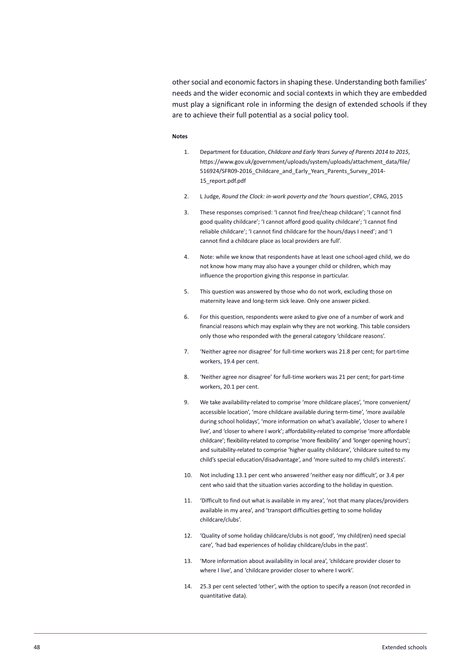other social and economic factors in shaping these. Understanding both families' needs and the wider economic and social contexts in which they are embedded must play a significant role in informing the design of extended schools if they are to achieve their full potential as a social policy tool.

#### **Notes**

- 1. Department for Education, *Childcare and Early Years Survey of Parents 2014 to 2015*, [https://www.gov.uk/government/uploads/system/uploads/attachment\\_data/file/](https://www.gov.uk/government/uploads/system/uploads/attachment_data/file/516924/SFR09-2016_Childcare_and_Early_Years_Parents_Survey_2014-15_report.pdf.pdf) 516924/SFR09-2016 Childcare and Early Years Parents Survey 2014-15\_report.pdf.pdf
- 2. L Judge, *Round the Clock: in-work poverty and the 'hours question'*, CPAG, 2015
- 3. These responses comprised: 'I cannot find free/cheap childcare'; 'I cannot find good quality childcare'; 'I cannot afford good quality childcare'; 'I cannot find reliable childcare'; 'I cannot find childcare for the hours/days I need'; and 'I cannot find a childcare place as local providers are full'.
- 4. Note: while we know that respondents have at least one school-aged child, we do not know how many may also have a younger child or children, which may influence the proportion giving this response in particular.
- 5. This question was answered by those who do not work, excluding those on maternity leave and long-term sick leave. Only one answer picked.
- 6. For this question, respondents were asked to give one of a number of work and financial reasons which may explain why they are not working. This table considers only those who responded with the general category 'childcare reasons'.
- 7. 'Neither agree nor disagree' for full-time workers was 21.8 per cent; for part-time workers, 19.4 per cent.
- 8. 'Neither agree nor disagree' for full-time workers was 21 per cent; for part-time workers, 20.1 per cent.
- 9. We take availability-related to comprise 'more childcare places', 'more convenient/ accessible location', 'more childcare available during term-time', 'more available during school holidays', 'more information on what's available', 'closer to where I live', and 'closer to where I work'; affordability-related to comprise 'more affordable childcare'; flexibility-related to comprise 'more flexibility' and 'longer opening hours'; and suitability-related to comprise 'higher quality childcare', 'childcare suited to my child's special education/disadvantage', and 'more suited to my child's interests'.
- 10. Not including 13.1 per cent who answered 'neither easy nor difficult', or 3.4 per cent who said that the situation varies according to the holiday in question.
- 11. 'Difficult to find out what is available in my area', 'not that many places/providers available in my area', and 'transport difficulties getting to some holiday childcare/clubs'.
- 12. 'Quality of some holiday childcare/clubs is not good', 'my child(ren) need special care', 'had bad experiences of holiday childcare/clubs in the past'.
- 13. 'More information about availability in local area', 'childcare provider closer to where I live', and 'childcare provider closer to where I work'.
- 14. 25.3 per cent selected 'other', with the option to specify a reason (not recorded in quantitative data).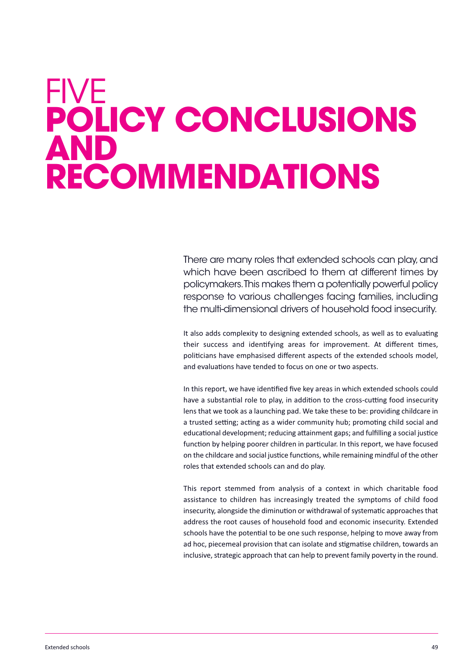# <span id="page-49-0"></span>FivE **Policy conclusions And recommendAtions**

There are many roles that extended schools can play, and which have been ascribed to them at different times by policymakers.This makes them a potentially powerful policy response to various challenges facing families, including the multi-dimensional drivers of household food insecurity.

It also adds complexity to designing extended schools, as well as to evaluating their success and identifying areas for improvement. At different times, politicians have emphasised different aspects of the extended schools model, and evaluations have tended to focus on one or two aspects.

In this report, we have identified five key areas in which extended schools could have a substantial role to play, in addition to the cross-cutting food insecurity lens that we took as a launching pad. We take these to be: providing childcare in a trusted setting; acting as a wider community hub; promoting child social and educational development; reducing attainment gaps; and fulfilling a social justice function by helping poorer children in particular. In this report, we have focused on the childcare and social justice functions, while remaining mindful of the other roles that extended schools can and do play.

This report stemmed from analysis of a context in which charitable food assistance to children has increasingly treated the symptoms of child food insecurity, alongside the diminution or withdrawal of systematic approaches that address the root causes of household food and economic insecurity. Extended schools have the potential to be one such response, helping to move away from ad hoc, piecemeal provision that can isolate and stigmatise children, towards an inclusive, strategic approach that can help to prevent family poverty in the round.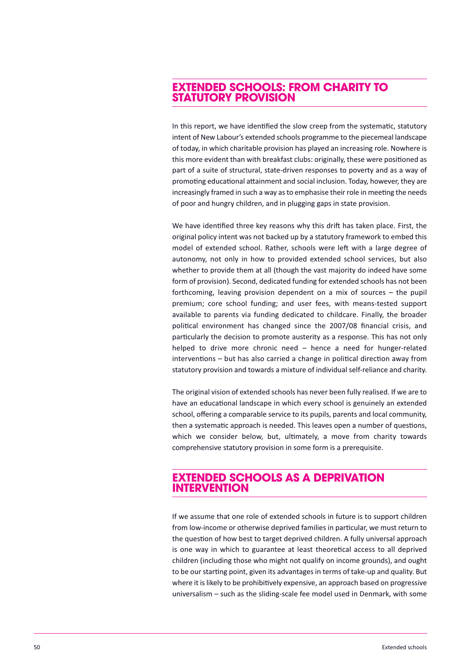## **extended schools: from chArity to stAtutory Provision**

In this report, we have identified the slow creep from the systematic, statutory intent of New Labour's extended schools programme to the piecemeal landscape of today, in which charitable provision has played an increasing role. Nowhere is this more evident than with breakfast clubs: originally, these were positioned as part of a suite of structural, state-driven responses to poverty and as a way of promoting educational attainment and social inclusion. Today, however, they are increasingly framed in such a way asto emphasise their role in meeting the needs of poor and hungry children, and in plugging gaps in state provision.

We have identified three key reasons why this drift has taken place. First, the original policy intent was not backed up by a statutory framework to embed this model of extended school. Rather, schools were left with a large degree of autonomy, not only in how to provided extended school services, but also whether to provide them at all (though the vast majority do indeed have some form of provision). Second, dedicated funding for extended schools has not been forthcoming, leaving provision dependent on a mix of sources – the pupil premium; core school funding; and user fees, with means-tested support available to parents via funding dedicated to childcare. Finally, the broader political environment has changed since the 2007/08 financial crisis, and particularly the decision to promote austerity as a response. This has not only helped to drive more chronic need – hence a need for hunger-related interventions – but has also carried a change in political direction away from statutory provision and towards a mixture of individual self-reliance and charity.

The original vision of extended schools has never been fully realised. If we are to have an educational landscape in which every school is genuinely an extended school, offering a comparable service to its pupils, parents and local community, then a systematic approach is needed. This leaves open a number of questions, which we consider below, but, ultimately, a move from charity towards comprehensive statutory provision in some form is a prerequisite.

## **extended schools As A dePrivAtion intervention**

If we assume that one role of extended schools in future is to support children from low-income or otherwise deprived families in particular, we must return to the question of how best to target deprived children. A fully universal approach is one way in which to guarantee at least theoretical access to all deprived children (including those who might not qualify on income grounds), and ought to be our starting point, given its advantages in terms of take-up and quality. But where it is likely to be prohibitively expensive, an approach based on progressive universalism – such as the sliding-scale fee model used in Denmark, with some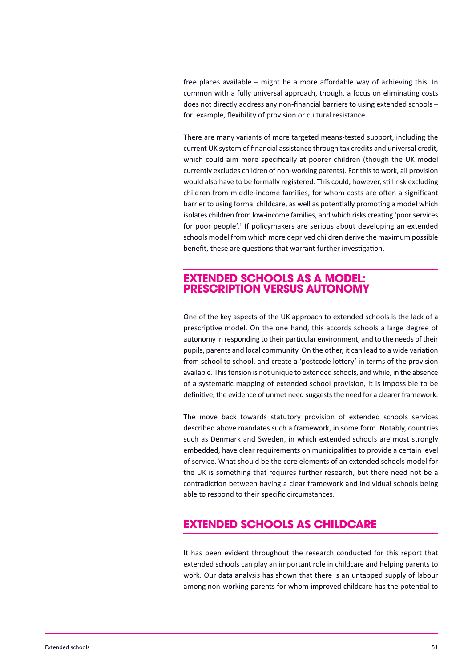free places available – might be a more affordable way of achieving this. In common with a fully universal approach, though, a focus on eliminating costs does not directly address any non-financial barriers to using extended schools – for example, flexibility of provision or cultural resistance.

There are many variants of more targeted means-tested support, including the current UK system of financial assistance through tax credits and universal credit, which could aim more specifically at poorer children (though the UK model currently excludes children of non-working parents). For thisto work, all provision would also have to be formally registered. This could, however, still risk excluding children from middle-income families, for whom costs are often a significant barrier to using formal childcare, as well as potentially promoting a model which isolates children from low-income families, and which risks creating 'poor services for poor people'. <sup>1</sup> If policymakers are serious about developing an extended schools model from which more deprived children derive the maximum possible benefit, these are questions that warrant further investigation.

### **extended schools As A model: PrescriPtion versus Autonomy**

One of the key aspects of the UK approach to extended schools is the lack of a prescriptive model. On the one hand, this accords schools a large degree of autonomy in responding to their particular environment, and to the needs of their pupils, parents and local community. On the other, it can lead to a wide variation from school to school, and create a 'postcode lottery' in terms of the provision available. Thistension is not unique to extended schools, and while, in the absence of a systematic mapping of extended school provision, it is impossible to be definitive, the evidence of unmet need suggests the need for a clearer framework.

The move back towards statutory provision of extended schools services described above mandates such a framework, in some form. Notably, countries such as Denmark and Sweden, in which extended schools are most strongly embedded, have clear requirements on municipalities to provide a certain level of service. What should be the core elements of an extended schools model for the UK is something that requires further research, but there need not be a contradiction between having a clear framework and individual schools being able to respond to their specific circumstances.

## **extended schools As childcAre**

It has been evident throughout the research conducted for this report that extended schools can play an important role in childcare and helping parents to work. Our data analysis has shown that there is an untapped supply of labour among non-working parents for whom improved childcare has the potential to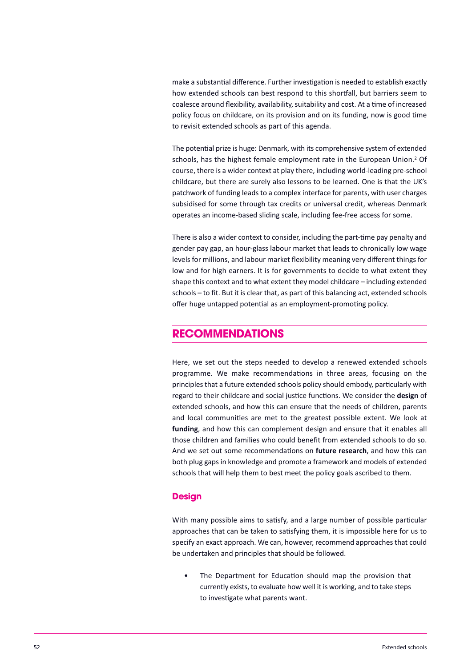make a substantial difference. Further investigation is needed to establish exactly how extended schools can best respond to this shortfall, but barriers seem to coalesce around flexibility, availability, suitability and cost. At a time of increased policy focus on childcare, on its provision and on its funding, now is good time to revisit extended schools as part of this agenda.

The potential prize is huge: Denmark, with its comprehensive system of extended schools, has the highest female employment rate in the European Union. <sup>2</sup> Of course, there is a wider context at play there, including world-leading pre-school childcare, but there are surely also lessons to be learned. One is that the UK's patchwork of funding leads to a complex interface for parents, with user charges subsidised for some through tax credits or universal credit, whereas Denmark operates an income-based sliding scale, including fee-free access for some.

There is also a wider context to consider, including the part-time pay penalty and gender pay gap, an hour-glass labour market that leads to chronically low wage levels for millions, and labour market flexibility meaning very different things for low and for high earners. It is for governments to decide to what extent they shape this context and to what extent they model childcare – including extended schools – to fit. But it is clear that, as part of this balancing act, extended schools offer huge untapped potential as an employment-promoting policy.

# **recommendAtions**

Here, we set out the steps needed to develop a renewed extended schools programme. We make recommendations in three areas, focusing on the principles that a future extended schools policy should embody, particularly with regard to their childcare and social justice functions. We consider the **design** of extended schools, and how this can ensure that the needs of children, parents and local communities are met to the greatest possible extent. We look at **funding**, and how this can complement design and ensure that it enables all those children and families who could benefit from extended schools to do so. And we set out some recommendations on **future research**, and how this can both plug gaps in knowledge and promote a framework and models of extended schools that will help them to best meet the policy goals ascribed to them.

#### **Design**

With many possible aims to satisfy, and a large number of possible particular approaches that can be taken to satisfying them, it is impossible here for us to specify an exact approach. We can, however, recommend approaches that could be undertaken and principles that should be followed.

The Department for Education should map the provision that currently exists, to evaluate how well it is working, and to take steps to investigate what parents want.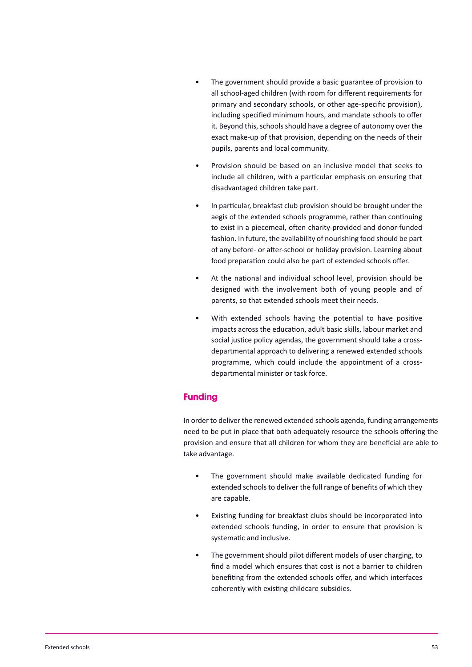- The government should provide a basic guarantee of provision to all school-aged children (with room for different requirements for primary and secondary schools, or other age-specific provision), including specified minimum hours, and mandate schools to offer it. Beyond this, schools should have a degree of autonomy over the exact make-up of that provision, depending on the needs of their pupils, parents and local community.
- Provision should be based on an inclusive model that seeks to include all children, with a particular emphasis on ensuring that disadvantaged children take part.
- In particular, breakfast club provision should be brought under the aegis of the extended schools programme, rather than continuing to exist in a piecemeal, often charity-provided and donor-funded fashion. In future, the availability of nourishing food should be part of any before- or after-school or holiday provision. Learning about food preparation could also be part of extended schools offer.
- At the national and individual school level, provision should be designed with the involvement both of young people and of parents, so that extended schools meet their needs.
- With extended schools having the potential to have positive impacts across the education, adult basic skills, labour market and social justice policy agendas, the government should take a crossdepartmental approach to delivering a renewed extended schools programme, which could include the appointment of a crossdepartmental minister or task force.

#### **funding**

In order to deliver the renewed extended schools agenda, funding arrangements need to be put in place that both adequately resource the schools offering the provision and ensure that all children for whom they are beneficial are able to take advantage.

- The government should make available dedicated funding for extended schools to deliver the full range of benefits of which they are capable.
- Existing funding for breakfast clubs should be incorporated into extended schools funding, in order to ensure that provision is systematic and inclusive.
- The government should pilot different models of user charging, to find a model which ensures that cost is not a barrier to children benefiting from the extended schools offer, and which interfaces coherently with existing childcare subsidies.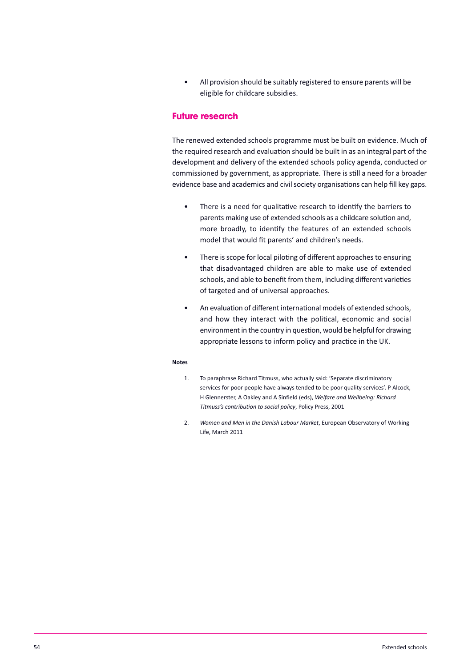• All provision should be suitably registered to ensure parents will be eligible for childcare subsidies.

#### **future research**

The renewed extended schools programme must be built on evidence. Much of the required research and evaluation should be built in as an integral part of the development and delivery of the extended schools policy agenda, conducted or commissioned by government, as appropriate. There is still a need for a broader evidence base and academics and civil society organisations can help fill key gaps.

- There is a need for qualitative research to identify the barriers to parents making use of extended schools as a childcare solution and, more broadly, to identify the features of an extended schools model that would fit parents' and children's needs.
- There is scope for local piloting of different approaches to ensuring that disadvantaged children are able to make use of extended schools, and able to benefit from them, including different varieties of targeted and of universal approaches.
- An evaluation of different international models of extended schools, and how they interact with the political, economic and social environment in the country in question, would be helpful for drawing appropriate lessons to inform policy and practice in the UK.

#### **Notes**

- 1. To paraphrase Richard Titmuss, who actually said: 'Separate discriminatory services for poor people have always tended to be poor quality services'. P Alcock, H Glennerster, A Oakley and A Sinfield (eds), *Welfare and Wellbeing: Richard Titmuss's contribution to social policy*, Policy Press, 2001
- 2. *Women and Men in the Danish Labour Market*, European Observatory of Working Life, March 2011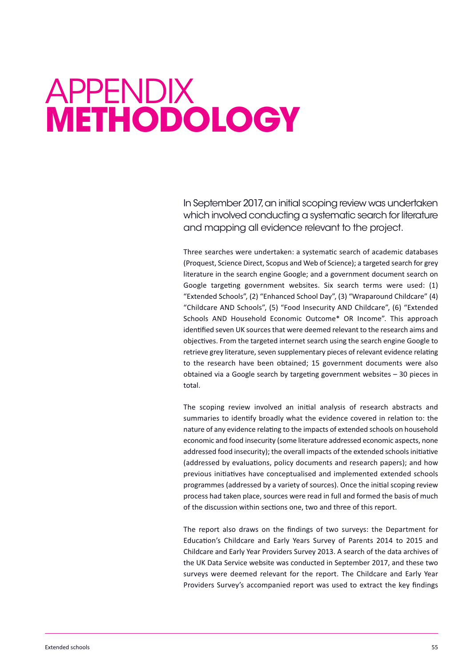# <span id="page-55-0"></span>appEnDix **methodology**

in September 2017,an initial scoping review was undertaken which involved conducting a systematic search for literature and mapping all evidence relevant to the project.

Three searches were undertaken: a systematic search of academic databases (Proquest, Science Direct, Scopus and Web of Science); a targeted search for grey literature in the search engine Google; and a government document search on Google targeting government websites. Six search terms were used: (1) "Extended Schools", (2) "Enhanced School Day", (3) "Wraparound Childcare" (4) "Childcare AND Schools", (5) "Food Insecurity AND Childcare", (6) "Extended Schools AND Household Economic Outcome\* OR Income". This approach identified seven UK sources that were deemed relevant to the research aims and objectives. From the targeted internet search using the search engine Google to retrieve grey literature, seven supplementary pieces of relevant evidence relating to the research have been obtained; 15 government documents were also obtained via a Google search by targeting government websites – 30 pieces in total.

The scoping review involved an initial analysis of research abstracts and summaries to identify broadly what the evidence covered in relation to: the nature of any evidence relating to the impacts of extended schools on household economic and food insecurity (some literature addressed economic aspects, none addressed food insecurity); the overall impacts of the extended schools initiative (addressed by evaluations, policy documents and research papers); and how previous initiatives have conceptualised and implemented extended schools programmes (addressed by a variety of sources). Once the initial scoping review process had taken place, sources were read in full and formed the basis of much of the discussion within sections one, two and three of this report.

The report also draws on the findings of two surveys: the Department for Education's Childcare and Early Years Survey of Parents 2014 to 2015 and Childcare and Early Year Providers Survey 2013. A search of the data archives of the UK Data Service website was conducted in September 2017, and these two surveys were deemed relevant for the report. The Childcare and Early Year Providers Survey's accompanied report was used to extract the key findings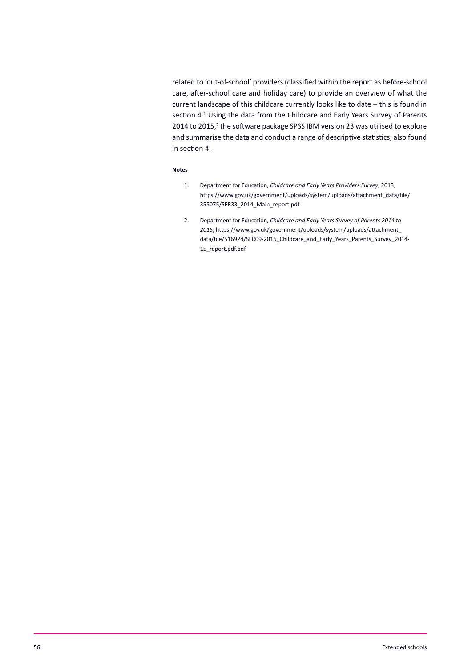related to 'out-of-school' providers (classified within the report as before-school care, after-school care and holiday care) to provide an overview of what the current landscape of this childcare currently looks like to date – this is found in section 4. <sup>1</sup> Using the data from the Childcare and Early Years Survey of Parents 2014 to 2015,<sup>2</sup> the software package SPSS IBM version 23 was utilised to explore and summarise the data and conduct a range of descriptive statistics, also found in section 4.

#### **Notes**

- 1. Department for Education, *Childcare and Early Years Providers Survey*, 2013, [https://www.gov.uk/government/uploads/system/uploads/attachment\\_data/file/](https://www.gov.uk/government/uploads/system/uploads/attachment_data/file/355075/SFR33_2014_Main_report.pdf) 355075/SFR33\_2014\_Main\_report.pdf
- 2. Department for Education, *Childcare and Early Years Survey of Parents 2014 to 2015*, https://www.gov.uk/government/uploads/system/uploads/attachment\_ data/file/516924/SFR09-2016 Childcare and Early Years Parents Survey 2014-15\_report.pdf.pdf